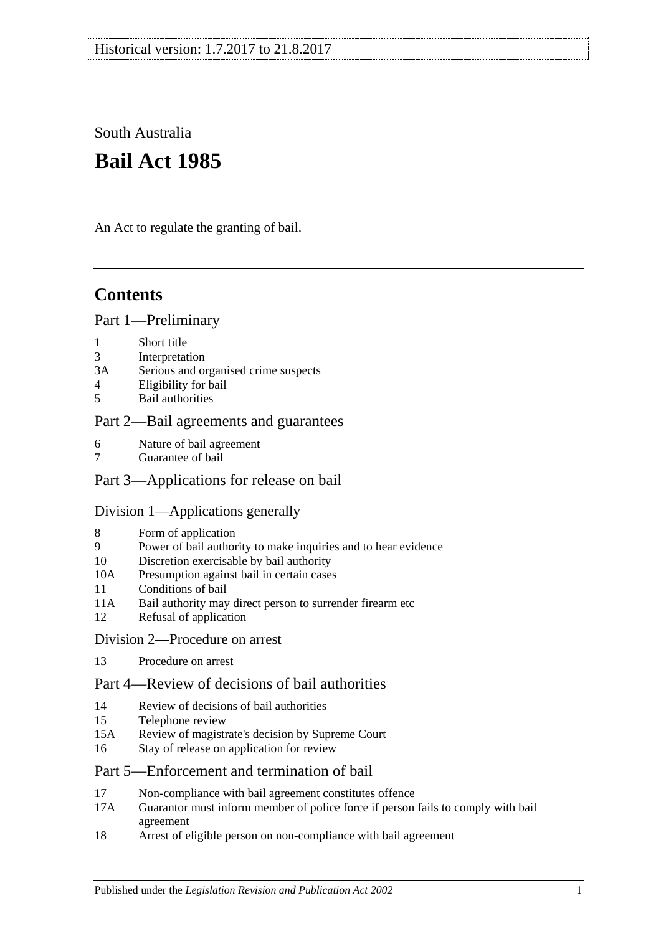South Australia

# **Bail Act 1985**

An Act to regulate the granting of bail.

# **Contents**

### [Part 1—Preliminary](#page-1-0)

- 1 [Short title](#page-1-1)
- 3 [Interpretation](#page-1-2)
- 3A [Serious and organised crime suspects](#page-3-0)
- 4 [Eligibility for bail](#page-3-1)
- 5 [Bail authorities](#page-4-0)

### [Part 2—Bail agreements and guarantees](#page-5-0)

- 6 [Nature of bail agreement](#page-5-1)
- 7 [Guarantee of bail](#page-6-0)

### [Part 3—Applications for release on bail](#page-7-0)

### [Division 1—Applications generally](#page-7-1)

- 8 [Form of application](#page-7-2)
- 9 [Power of bail authority to make inquiries and to hear evidence](#page-7-3)
- 10 [Discretion exercisable by bail authority](#page-8-0)
- 10A [Presumption against bail in certain cases](#page-8-1)
- 11 [Conditions of bail](#page-10-0)
- 11A [Bail authority may direct person to surrender firearm etc](#page-14-0)
- 12 [Refusal of application](#page-14-1)
- [Division 2—Procedure on arrest](#page-14-2)
- 13 [Procedure on arrest](#page-14-3)

### [Part 4—Review of decisions of bail authorities](#page-15-0)

- 14 [Review of decisions of bail authorities](#page-15-1)
- 15 [Telephone review](#page-16-0)
- 15A Review of magistrate's [decision by Supreme Court](#page-17-0)
- 16 [Stay of release on application for review](#page-17-1)

### [Part 5—Enforcement and termination of bail](#page-18-0)

- 17 [Non-compliance with bail agreement constitutes offence](#page-18-1)
- 17A [Guarantor must inform member of police force if person fails to comply with bail](#page-19-0)  [agreement](#page-19-0)
- 18 [Arrest of eligible person on non-compliance with bail agreement](#page-19-1)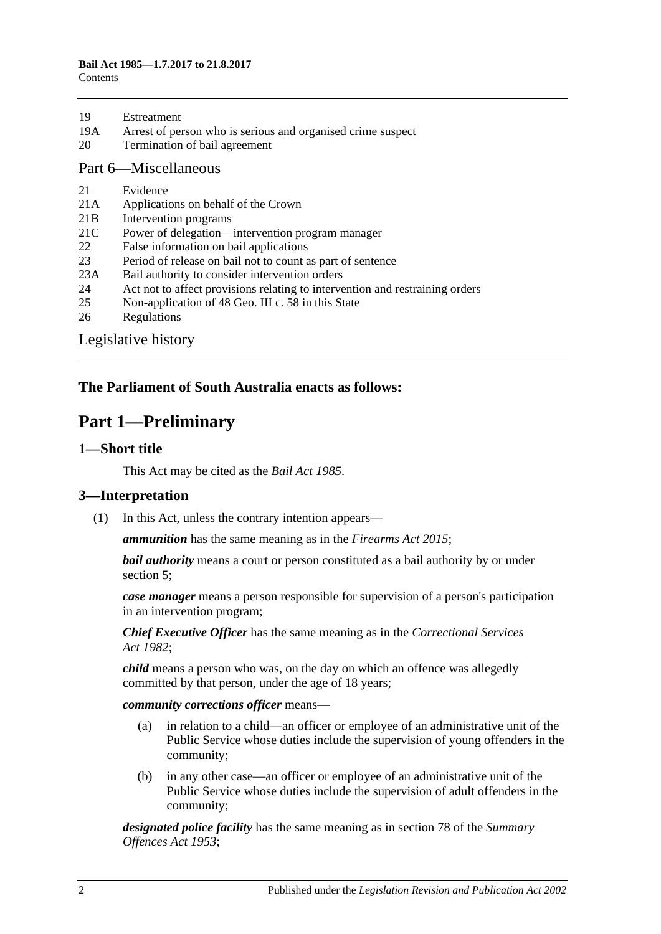- 19A [Arrest of person who is serious and organised crime suspect](#page-20-0)
- 20 [Termination of bail agreement](#page-20-1)

#### [Part 6—Miscellaneous](#page-20-2)

- 21 [Evidence](#page-20-3)
- 21A [Applications on behalf of the Crown](#page-20-4)
- 21B [Intervention programs](#page-20-5)
- 21C [Power of delegation—intervention program manager](#page-21-0)
- 22 [False information on bail applications](#page-22-0)
- 23 [Period of release on bail not to count as part of sentence](#page-22-1)
- 23A [Bail authority to consider intervention orders](#page-22-2)
- 24 [Act not to affect provisions relating to intervention and restraining orders](#page-23-0)
- 25 [Non-application of 48 Geo. III c. 58 in this State](#page-23-1)
- 26 [Regulations](#page-23-2)

[Legislative history](#page-24-0)

### <span id="page-1-0"></span>**The Parliament of South Australia enacts as follows:**

# **Part 1—Preliminary**

#### <span id="page-1-1"></span>**1—Short title**

This Act may be cited as the *Bail Act 1985*.

### <span id="page-1-2"></span>**3—Interpretation**

(1) In this Act, unless the contrary intention appears—

*ammunition* has the same meaning as in the *[Firearms Act](http://www.legislation.sa.gov.au/index.aspx?action=legref&type=act&legtitle=Firearms%20Act%202015) 2015*;

*bail authority* means a court or person constituted as a bail authority by or under [section](#page-4-0) 5;

*case manager* means a person responsible for supervision of a person's participation in an intervention program;

*Chief Executive Officer* has the same meaning as in the *[Correctional Services](http://www.legislation.sa.gov.au/index.aspx?action=legref&type=act&legtitle=Correctional%20Services%20Act%201982)  Act [1982](http://www.legislation.sa.gov.au/index.aspx?action=legref&type=act&legtitle=Correctional%20Services%20Act%201982)*;

*child* means a person who was, on the day on which an offence was allegedly committed by that person, under the age of 18 years;

*community corrections officer* means—

- (a) in relation to a child—an officer or employee of an administrative unit of the Public Service whose duties include the supervision of young offenders in the community;
- (b) in any other case—an officer or employee of an administrative unit of the Public Service whose duties include the supervision of adult offenders in the community;

*designated police facility* has the same meaning as in section 78 of the *[Summary](http://www.legislation.sa.gov.au/index.aspx?action=legref&type=act&legtitle=Summary%20Offences%20Act%201953)  [Offences Act](http://www.legislation.sa.gov.au/index.aspx?action=legref&type=act&legtitle=Summary%20Offences%20Act%201953) 1953*;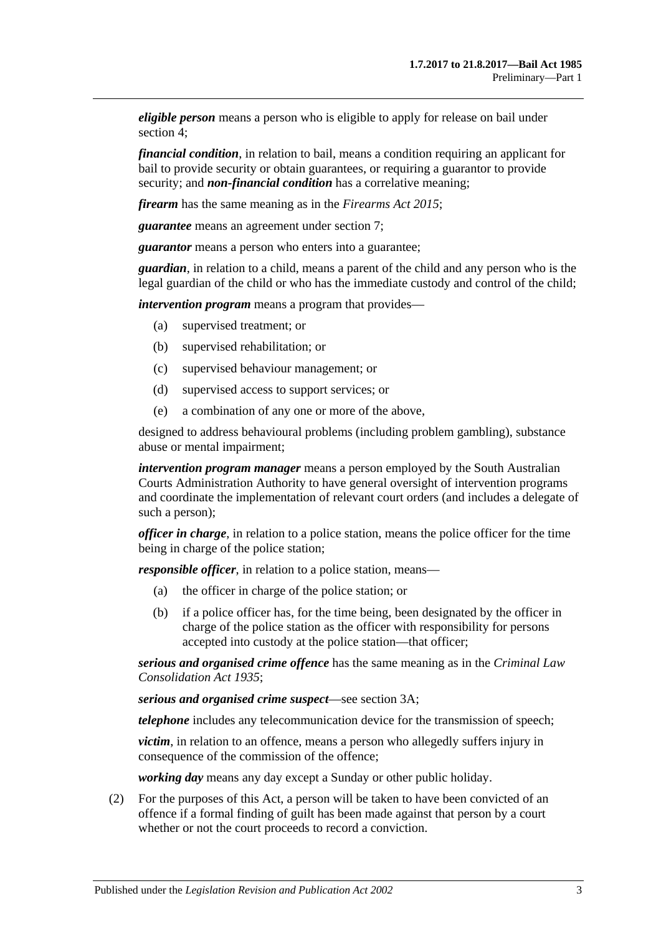*eligible person* means a person who is eligible to apply for release on bail under [section](#page-3-1) 4;

*financial condition*, in relation to bail, means a condition requiring an applicant for bail to provide security or obtain guarantees, or requiring a guarantor to provide security; and *non-financial condition* has a correlative meaning;

*firearm* has the same meaning as in the *[Firearms Act](http://www.legislation.sa.gov.au/index.aspx?action=legref&type=act&legtitle=Firearms%20Act%202015) 2015*;

*guarantee* means an agreement under [section](#page-6-0) 7;

*guarantor* means a person who enters into a guarantee;

*guardian*, in relation to a child, means a parent of the child and any person who is the legal guardian of the child or who has the immediate custody and control of the child;

*intervention program* means a program that provides—

- (a) supervised treatment; or
- (b) supervised rehabilitation; or
- (c) supervised behaviour management; or
- (d) supervised access to support services; or
- (e) a combination of any one or more of the above,

designed to address behavioural problems (including problem gambling), substance abuse or mental impairment;

*intervention program manager* means a person employed by the South Australian Courts Administration Authority to have general oversight of intervention programs and coordinate the implementation of relevant court orders (and includes a delegate of such a person);

*officer in charge*, in relation to a police station, means the police officer for the time being in charge of the police station;

*responsible officer*, in relation to a police station, means—

- (a) the officer in charge of the police station; or
- (b) if a police officer has, for the time being, been designated by the officer in charge of the police station as the officer with responsibility for persons accepted into custody at the police station—that officer;

*serious and organised crime offence* has the same meaning as in the *[Criminal Law](http://www.legislation.sa.gov.au/index.aspx?action=legref&type=act&legtitle=Criminal%20Law%20Consolidation%20Act%201935)  [Consolidation Act](http://www.legislation.sa.gov.au/index.aspx?action=legref&type=act&legtitle=Criminal%20Law%20Consolidation%20Act%201935) 1935*;

*serious and organised crime suspect*—see [section](#page-3-0) 3A;

*telephone* includes any telecommunication device for the transmission of speech;

*victim*, in relation to an offence, means a person who allegedly suffers injury in consequence of the commission of the offence;

*working day* means any day except a Sunday or other public holiday.

(2) For the purposes of this Act, a person will be taken to have been convicted of an offence if a formal finding of guilt has been made against that person by a court whether or not the court proceeds to record a conviction.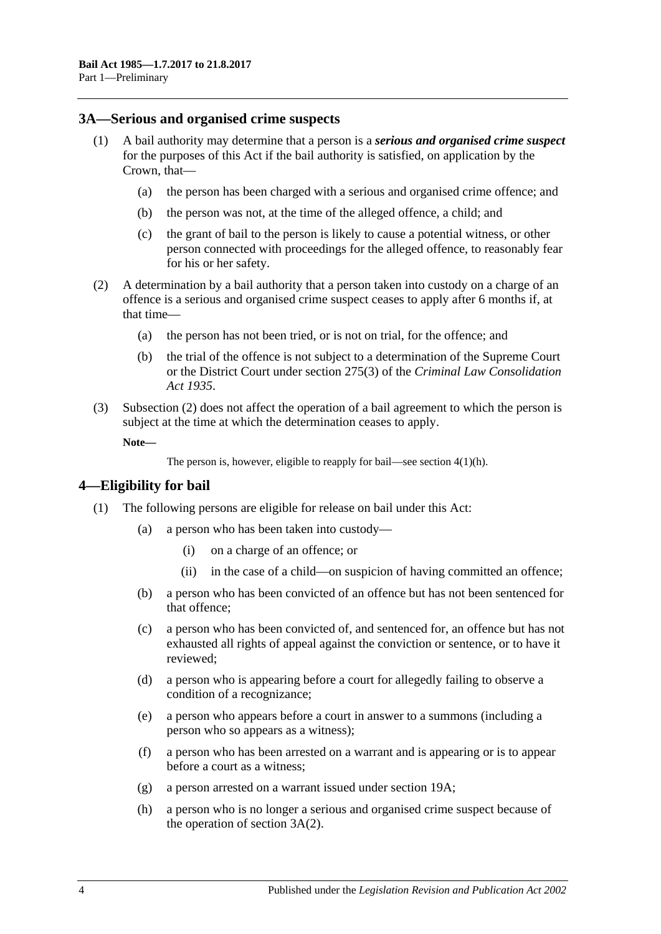#### <span id="page-3-0"></span>**3A—Serious and organised crime suspects**

- <span id="page-3-5"></span><span id="page-3-4"></span>(1) A bail authority may determine that a person is a *serious and organised crime suspect* for the purposes of this Act if the bail authority is satisfied, on application by the Crown, that—
	- (a) the person has been charged with a serious and organised crime offence; and
	- (b) the person was not, at the time of the alleged offence, a child; and
	- (c) the grant of bail to the person is likely to cause a potential witness, or other person connected with proceedings for the alleged offence, to reasonably fear for his or her safety.
- <span id="page-3-6"></span><span id="page-3-2"></span>(2) A determination by a bail authority that a person taken into custody on a charge of an offence is a serious and organised crime suspect ceases to apply after 6 months if, at that time—
	- (a) the person has not been tried, or is not on trial, for the offence; and
	- (b) the trial of the offence is not subject to a determination of the Supreme Court or the District Court under section 275(3) of the *[Criminal Law Consolidation](http://www.legislation.sa.gov.au/index.aspx?action=legref&type=act&legtitle=Criminal%20Law%20Consolidation%20Act%201935)  Act [1935](http://www.legislation.sa.gov.au/index.aspx?action=legref&type=act&legtitle=Criminal%20Law%20Consolidation%20Act%201935)*.
- (3) [Subsection](#page-3-2) (2) does not affect the operation of a bail agreement to which the person is subject at the time at which the determination ceases to apply.

**Note—**

```
The person is, however, eligible to reapply for bail—see section 4(1)(h).
```
### <span id="page-3-1"></span>**4—Eligibility for bail**

- <span id="page-3-3"></span>(1) The following persons are eligible for release on bail under this Act:
	- (a) a person who has been taken into custody—
		- (i) on a charge of an offence; or
		- (ii) in the case of a child—on suspicion of having committed an offence;
	- (b) a person who has been convicted of an offence but has not been sentenced for that offence;
	- (c) a person who has been convicted of, and sentenced for, an offence but has not exhausted all rights of appeal against the conviction or sentence, or to have it reviewed;
	- (d) a person who is appearing before a court for allegedly failing to observe a condition of a recognizance;
	- (e) a person who appears before a court in answer to a summons (including a person who so appears as a witness);
	- (f) a person who has been arrested on a warrant and is appearing or is to appear before a court as a witness;
	- (g) a person arrested on a warrant issued under [section](#page-20-0) 19A;
	- (h) a person who is no longer a serious and organised crime suspect because of the operation of [section](#page-3-2) 3A(2).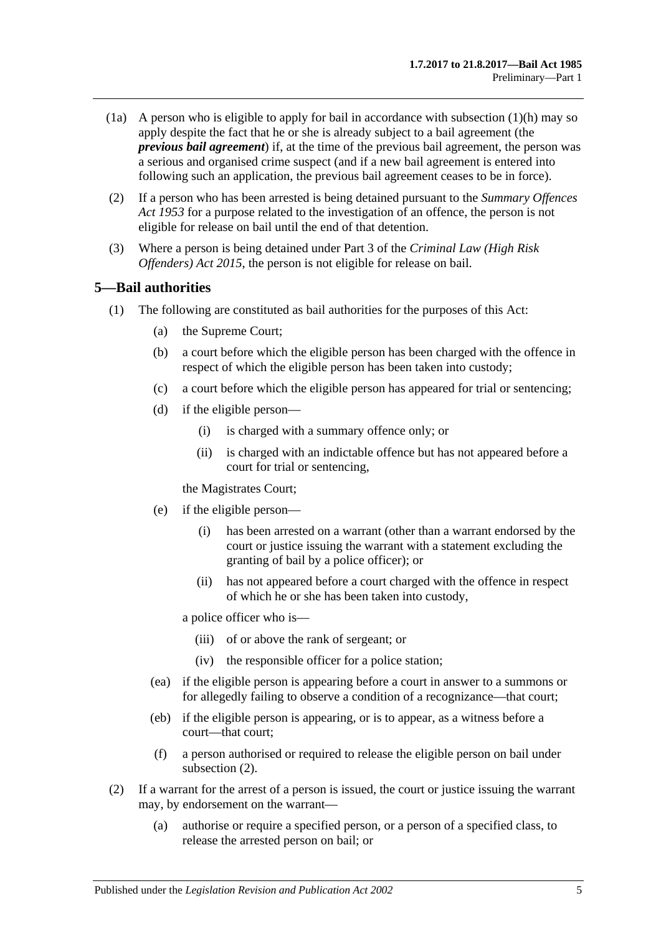- (1a) A person who is eligible to apply for bail in accordance with [subsection](#page-3-3)  $(1)(h)$  may so apply despite the fact that he or she is already subject to a bail agreement (the *previous bail agreement*) if, at the time of the previous bail agreement, the person was a serious and organised crime suspect (and if a new bail agreement is entered into following such an application, the previous bail agreement ceases to be in force).
- (2) If a person who has been arrested is being detained pursuant to the *[Summary Offences](http://www.legislation.sa.gov.au/index.aspx?action=legref&type=act&legtitle=Summary%20Offences%20Act%201953)  Act [1953](http://www.legislation.sa.gov.au/index.aspx?action=legref&type=act&legtitle=Summary%20Offences%20Act%201953)* for a purpose related to the investigation of an offence, the person is not eligible for release on bail until the end of that detention.
- (3) Where a person is being detained under Part 3 of the *[Criminal Law \(High Risk](http://www.legislation.sa.gov.au/index.aspx?action=legref&type=act&legtitle=Criminal%20Law%20(High%20Risk%20Offenders)%20Act%202015)  [Offenders\) Act](http://www.legislation.sa.gov.au/index.aspx?action=legref&type=act&legtitle=Criminal%20Law%20(High%20Risk%20Offenders)%20Act%202015) 2015*, the person is not eligible for release on bail.

### <span id="page-4-0"></span>**5—Bail authorities**

- (1) The following are constituted as bail authorities for the purposes of this Act:
	- (a) the Supreme Court;
	- (b) a court before which the eligible person has been charged with the offence in respect of which the eligible person has been taken into custody;
	- (c) a court before which the eligible person has appeared for trial or sentencing;
	- (d) if the eligible person—
		- (i) is charged with a summary offence only; or
		- (ii) is charged with an indictable offence but has not appeared before a court for trial or sentencing,

the Magistrates Court;

- (e) if the eligible person—
	- (i) has been arrested on a warrant (other than a warrant endorsed by the court or justice issuing the warrant with a statement excluding the granting of bail by a police officer); or
	- (ii) has not appeared before a court charged with the offence in respect of which he or she has been taken into custody,

a police officer who is—

- (iii) of or above the rank of sergeant; or
- (iv) the responsible officer for a police station;
- (ea) if the eligible person is appearing before a court in answer to a summons or for allegedly failing to observe a condition of a recognizance—that court;
- (eb) if the eligible person is appearing, or is to appear, as a witness before a court—that court;
- (f) a person authorised or required to release the eligible person on bail under [subsection](#page-4-1) (2).
- <span id="page-4-1"></span>(2) If a warrant for the arrest of a person is issued, the court or justice issuing the warrant may, by endorsement on the warrant—
	- (a) authorise or require a specified person, or a person of a specified class, to release the arrested person on bail; or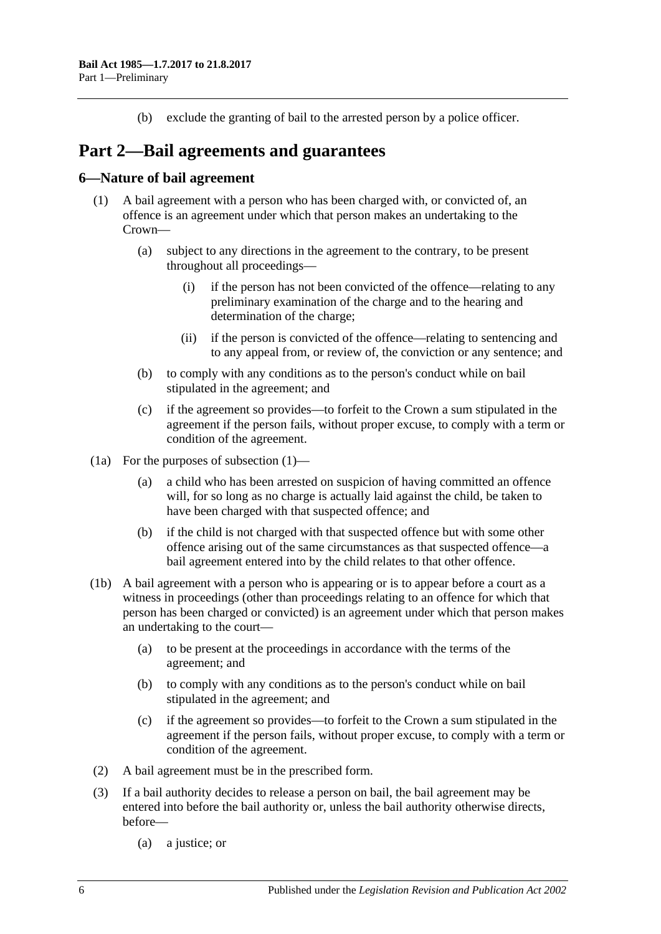(b) exclude the granting of bail to the arrested person by a police officer.

# <span id="page-5-0"></span>**Part 2—Bail agreements and guarantees**

### <span id="page-5-2"></span><span id="page-5-1"></span>**6—Nature of bail agreement**

- (1) A bail agreement with a person who has been charged with, or convicted of, an offence is an agreement under which that person makes an undertaking to the Crown—
	- (a) subject to any directions in the agreement to the contrary, to be present throughout all proceedings—
		- (i) if the person has not been convicted of the offence—relating to any preliminary examination of the charge and to the hearing and determination of the charge;
		- (ii) if the person is convicted of the offence—relating to sentencing and to any appeal from, or review of, the conviction or any sentence; and
	- (b) to comply with any conditions as to the person's conduct while on bail stipulated in the agreement; and
	- (c) if the agreement so provides—to forfeit to the Crown a sum stipulated in the agreement if the person fails, without proper excuse, to comply with a term or condition of the agreement.
- (1a) For the purposes of [subsection](#page-5-2) (1)—
	- (a) a child who has been arrested on suspicion of having committed an offence will, for so long as no charge is actually laid against the child, be taken to have been charged with that suspected offence; and
	- (b) if the child is not charged with that suspected offence but with some other offence arising out of the same circumstances as that suspected offence—a bail agreement entered into by the child relates to that other offence.
- (1b) A bail agreement with a person who is appearing or is to appear before a court as a witness in proceedings (other than proceedings relating to an offence for which that person has been charged or convicted) is an agreement under which that person makes an undertaking to the court—
	- (a) to be present at the proceedings in accordance with the terms of the agreement; and
	- (b) to comply with any conditions as to the person's conduct while on bail stipulated in the agreement; and
	- (c) if the agreement so provides—to forfeit to the Crown a sum stipulated in the agreement if the person fails, without proper excuse, to comply with a term or condition of the agreement.
- (2) A bail agreement must be in the prescribed form.
- (3) If a bail authority decides to release a person on bail, the bail agreement may be entered into before the bail authority or, unless the bail authority otherwise directs, before—
	- (a) a justice; or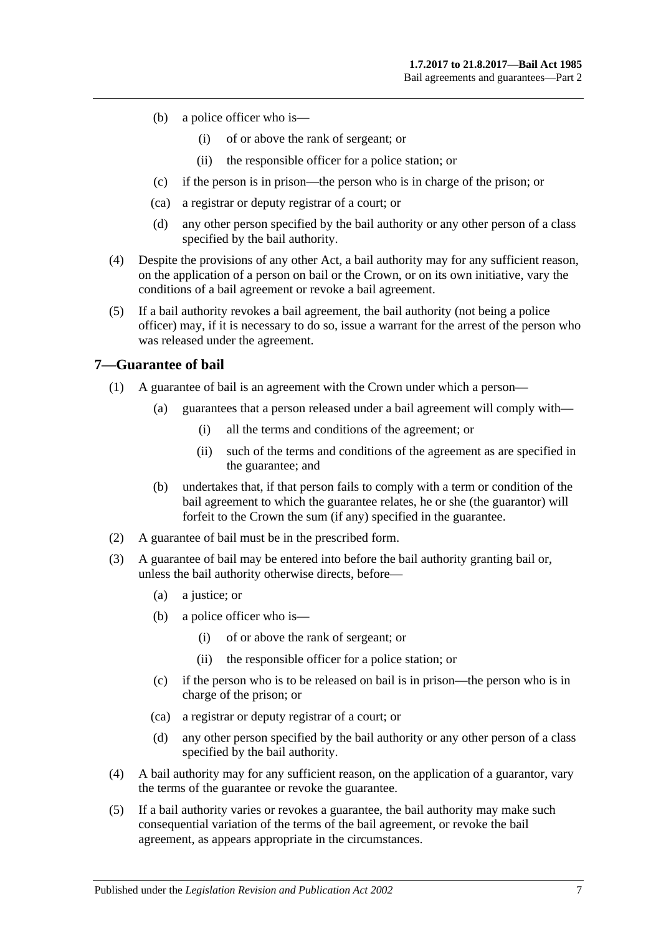- (b) a police officer who is—
	- (i) of or above the rank of sergeant; or
	- (ii) the responsible officer for a police station; or
- (c) if the person is in prison—the person who is in charge of the prison; or
- (ca) a registrar or deputy registrar of a court; or
- (d) any other person specified by the bail authority or any other person of a class specified by the bail authority.
- (4) Despite the provisions of any other Act, a bail authority may for any sufficient reason, on the application of a person on bail or the Crown, or on its own initiative, vary the conditions of a bail agreement or revoke a bail agreement.
- (5) If a bail authority revokes a bail agreement, the bail authority (not being a police officer) may, if it is necessary to do so, issue a warrant for the arrest of the person who was released under the agreement.

### <span id="page-6-0"></span>**7—Guarantee of bail**

- (1) A guarantee of bail is an agreement with the Crown under which a person—
	- (a) guarantees that a person released under a bail agreement will comply with—
		- (i) all the terms and conditions of the agreement; or
		- (ii) such of the terms and conditions of the agreement as are specified in the guarantee; and
	- (b) undertakes that, if that person fails to comply with a term or condition of the bail agreement to which the guarantee relates, he or she (the guarantor) will forfeit to the Crown the sum (if any) specified in the guarantee.
- (2) A guarantee of bail must be in the prescribed form.
- (3) A guarantee of bail may be entered into before the bail authority granting bail or, unless the bail authority otherwise directs, before—
	- (a) a justice; or
	- (b) a police officer who is—
		- (i) of or above the rank of sergeant; or
		- (ii) the responsible officer for a police station; or
	- (c) if the person who is to be released on bail is in prison—the person who is in charge of the prison; or
	- (ca) a registrar or deputy registrar of a court; or
	- (d) any other person specified by the bail authority or any other person of a class specified by the bail authority.
- (4) A bail authority may for any sufficient reason, on the application of a guarantor, vary the terms of the guarantee or revoke the guarantee.
- (5) If a bail authority varies or revokes a guarantee, the bail authority may make such consequential variation of the terms of the bail agreement, or revoke the bail agreement, as appears appropriate in the circumstances.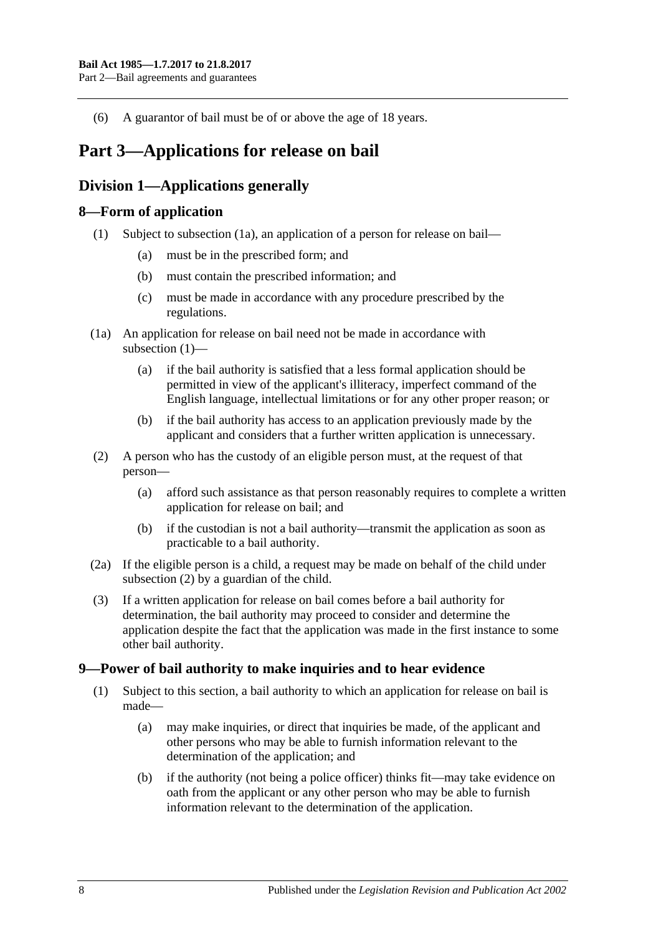(6) A guarantor of bail must be of or above the age of 18 years.

# <span id="page-7-0"></span>**Part 3—Applications for release on bail**

# <span id="page-7-1"></span>**Division 1—Applications generally**

### <span id="page-7-5"></span><span id="page-7-2"></span>**8—Form of application**

- (1) Subject to [subsection](#page-7-4) (1a), an application of a person for release on bail—
	- (a) must be in the prescribed form; and
	- (b) must contain the prescribed information; and
	- (c) must be made in accordance with any procedure prescribed by the regulations.
- <span id="page-7-4"></span>(1a) An application for release on bail need not be made in accordance with [subsection](#page-7-5) (1)—
	- (a) if the bail authority is satisfied that a less formal application should be permitted in view of the applicant's illiteracy, imperfect command of the English language, intellectual limitations or for any other proper reason; or
	- (b) if the bail authority has access to an application previously made by the applicant and considers that a further written application is unnecessary.
- <span id="page-7-6"></span>(2) A person who has the custody of an eligible person must, at the request of that person—
	- (a) afford such assistance as that person reasonably requires to complete a written application for release on bail; and
	- (b) if the custodian is not a bail authority—transmit the application as soon as practicable to a bail authority.
- (2a) If the eligible person is a child, a request may be made on behalf of the child under [subsection](#page-7-6) (2) by a guardian of the child.
- (3) If a written application for release on bail comes before a bail authority for determination, the bail authority may proceed to consider and determine the application despite the fact that the application was made in the first instance to some other bail authority.

### <span id="page-7-3"></span>**9—Power of bail authority to make inquiries and to hear evidence**

- <span id="page-7-7"></span>(1) Subject to this section, a bail authority to which an application for release on bail is made—
	- (a) may make inquiries, or direct that inquiries be made, of the applicant and other persons who may be able to furnish information relevant to the determination of the application; and
	- (b) if the authority (not being a police officer) thinks fit—may take evidence on oath from the applicant or any other person who may be able to furnish information relevant to the determination of the application.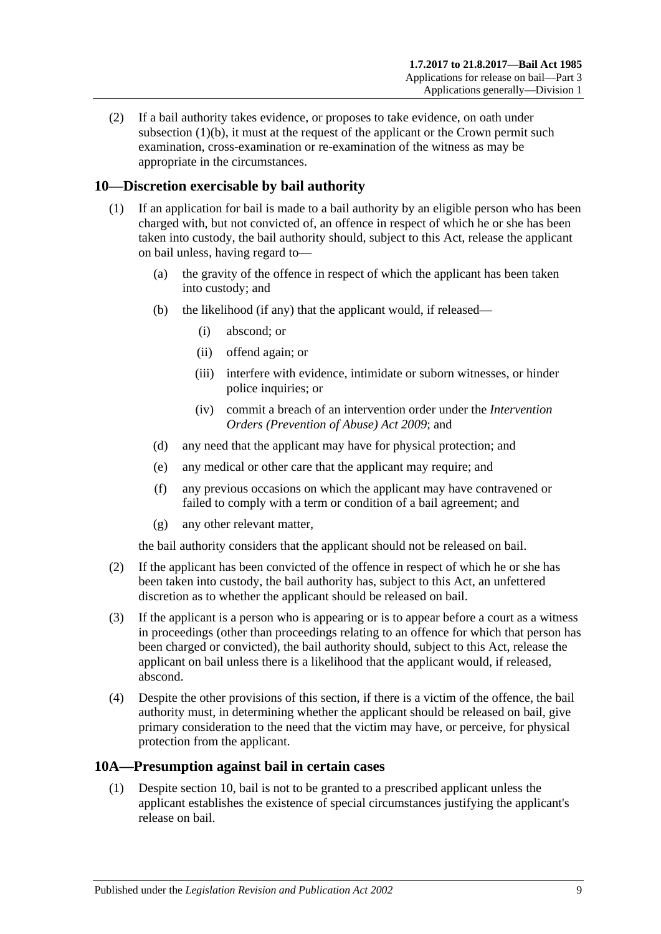(2) If a bail authority takes evidence, or proposes to take evidence, on oath under [subsection](#page-7-7)  $(1)(b)$ , it must at the request of the applicant or the Crown permit such examination, cross-examination or re-examination of the witness as may be appropriate in the circumstances.

### <span id="page-8-0"></span>**10—Discretion exercisable by bail authority**

- (1) If an application for bail is made to a bail authority by an eligible person who has been charged with, but not convicted of, an offence in respect of which he or she has been taken into custody, the bail authority should, subject to this Act, release the applicant on bail unless, having regard to—
	- (a) the gravity of the offence in respect of which the applicant has been taken into custody; and
	- (b) the likelihood (if any) that the applicant would, if released—
		- (i) abscond; or
		- (ii) offend again; or
		- (iii) interfere with evidence, intimidate or suborn witnesses, or hinder police inquiries; or
		- (iv) commit a breach of an intervention order under the *[Intervention](http://www.legislation.sa.gov.au/index.aspx?action=legref&type=act&legtitle=Intervention%20Orders%20(Prevention%20of%20Abuse)%20Act%202009)  [Orders \(Prevention of Abuse\) Act](http://www.legislation.sa.gov.au/index.aspx?action=legref&type=act&legtitle=Intervention%20Orders%20(Prevention%20of%20Abuse)%20Act%202009) 2009*; and
	- (d) any need that the applicant may have for physical protection; and
	- (e) any medical or other care that the applicant may require; and
	- (f) any previous occasions on which the applicant may have contravened or failed to comply with a term or condition of a bail agreement; and
	- (g) any other relevant matter,

the bail authority considers that the applicant should not be released on bail.

- (2) If the applicant has been convicted of the offence in respect of which he or she has been taken into custody, the bail authority has, subject to this Act, an unfettered discretion as to whether the applicant should be released on bail.
- (3) If the applicant is a person who is appearing or is to appear before a court as a witness in proceedings (other than proceedings relating to an offence for which that person has been charged or convicted), the bail authority should, subject to this Act, release the applicant on bail unless there is a likelihood that the applicant would, if released, abscond.
- (4) Despite the other provisions of this section, if there is a victim of the offence, the bail authority must, in determining whether the applicant should be released on bail, give primary consideration to the need that the victim may have, or perceive, for physical protection from the applicant.

### <span id="page-8-2"></span><span id="page-8-1"></span>**10A—Presumption against bail in certain cases**

(1) Despite [section](#page-8-0) 10, bail is not to be granted to a prescribed applicant unless the applicant establishes the existence of special circumstances justifying the applicant's release on bail.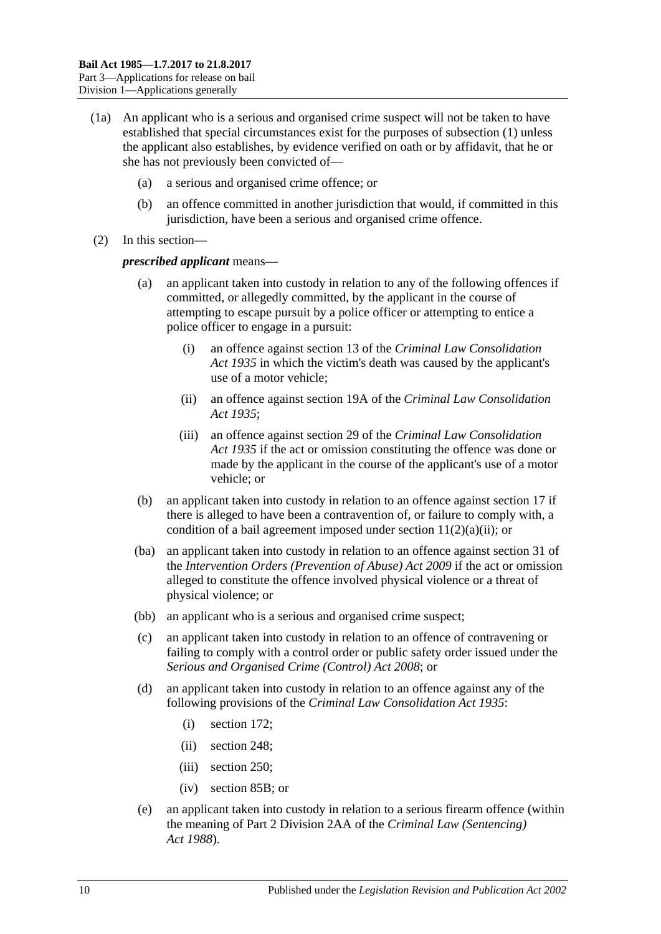- (1a) An applicant who is a serious and organised crime suspect will not be taken to have established that special circumstances exist for the purposes of [subsection](#page-8-2) (1) unless the applicant also establishes, by evidence verified on oath or by affidavit, that he or she has not previously been convicted of—
	- (a) a serious and organised crime offence; or
	- (b) an offence committed in another jurisdiction that would, if committed in this jurisdiction, have been a serious and organised crime offence.
- (2) In this section—

#### *prescribed applicant* means—

- an applicant taken into custody in relation to any of the following offences if committed, or allegedly committed, by the applicant in the course of attempting to escape pursuit by a police officer or attempting to entice a police officer to engage in a pursuit:
	- (i) an offence against section 13 of the *[Criminal Law Consolidation](http://www.legislation.sa.gov.au/index.aspx?action=legref&type=act&legtitle=Criminal%20Law%20Consolidation%20Act%201935)  Act [1935](http://www.legislation.sa.gov.au/index.aspx?action=legref&type=act&legtitle=Criminal%20Law%20Consolidation%20Act%201935)* in which the victim's death was caused by the applicant's use of a motor vehicle;
	- (ii) an offence against section 19A of the *[Criminal Law Consolidation](http://www.legislation.sa.gov.au/index.aspx?action=legref&type=act&legtitle=Criminal%20Law%20Consolidation%20Act%201935)  Act [1935](http://www.legislation.sa.gov.au/index.aspx?action=legref&type=act&legtitle=Criminal%20Law%20Consolidation%20Act%201935)*;
	- (iii) an offence against section 29 of the *[Criminal Law Consolidation](http://www.legislation.sa.gov.au/index.aspx?action=legref&type=act&legtitle=Criminal%20Law%20Consolidation%20Act%201935)  Act [1935](http://www.legislation.sa.gov.au/index.aspx?action=legref&type=act&legtitle=Criminal%20Law%20Consolidation%20Act%201935)* if the act or omission constituting the offence was done or made by the applicant in the course of the applicant's use of a motor vehicle; or
- (b) an applicant taken into custody in relation to an offence against [section](#page-18-1) 17 if there is alleged to have been a contravention of, or failure to comply with, a condition of a bail agreement imposed under section  $11(2)(a)(ii)$ ; or
- (ba) an applicant taken into custody in relation to an offence against section 31 of the *[Intervention Orders \(Prevention of Abuse\) Act](http://www.legislation.sa.gov.au/index.aspx?action=legref&type=act&legtitle=Intervention%20Orders%20(Prevention%20of%20Abuse)%20Act%202009) 2009* if the act or omission alleged to constitute the offence involved physical violence or a threat of physical violence; or
- (bb) an applicant who is a serious and organised crime suspect;
- (c) an applicant taken into custody in relation to an offence of contravening or failing to comply with a control order or public safety order issued under the *[Serious and Organised Crime \(Control\) Act](http://www.legislation.sa.gov.au/index.aspx?action=legref&type=act&legtitle=Serious%20and%20Organised%20Crime%20(Control)%20Act%202008) 2008*; or
- (d) an applicant taken into custody in relation to an offence against any of the following provisions of the *[Criminal Law Consolidation Act](http://www.legislation.sa.gov.au/index.aspx?action=legref&type=act&legtitle=Criminal%20Law%20Consolidation%20Act%201935) 1935*:
	- (i) section 172;
	- (ii) section 248;
	- (iii) section 250;
	- (iv) section 85B; or
- (e) an applicant taken into custody in relation to a serious firearm offence (within the meaning of Part 2 Division 2AA of the *[Criminal Law \(Sentencing\)](http://www.legislation.sa.gov.au/index.aspx?action=legref&type=act&legtitle=Criminal%20Law%20(Sentencing)%20Act%201988)  Act [1988](http://www.legislation.sa.gov.au/index.aspx?action=legref&type=act&legtitle=Criminal%20Law%20(Sentencing)%20Act%201988)*).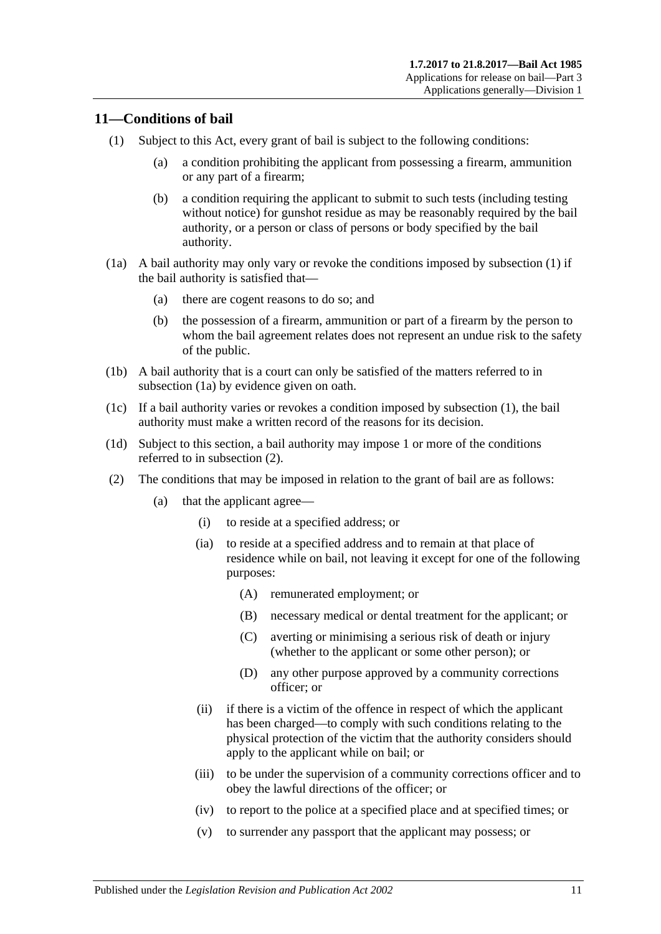### <span id="page-10-2"></span><span id="page-10-0"></span>**11—Conditions of bail**

- <span id="page-10-7"></span>(1) Subject to this Act, every grant of bail is subject to the following conditions:
	- (a) a condition prohibiting the applicant from possessing a firearm, ammunition or any part of a firearm;
	- (b) a condition requiring the applicant to submit to such tests (including testing without notice) for gunshot residue as may be reasonably required by the bail authority, or a person or class of persons or body specified by the bail authority.
- <span id="page-10-3"></span>(1a) A bail authority may only vary or revoke the conditions imposed by [subsection](#page-10-2) (1) if the bail authority is satisfied that—
	- (a) there are cogent reasons to do so; and
	- (b) the possession of a firearm, ammunition or part of a firearm by the person to whom the bail agreement relates does not represent an undue risk to the safety of the public.
- (1b) A bail authority that is a court can only be satisfied of the matters referred to in [subsection](#page-10-3) (1a) by evidence given on oath.
- (1c) If a bail authority varies or revokes a condition imposed by [subsection](#page-10-2) (1), the bail authority must make a written record of the reasons for its decision.
- (1d) Subject to this section, a bail authority may impose 1 or more of the conditions referred to in [subsection](#page-10-4) (2).
- <span id="page-10-6"></span><span id="page-10-5"></span><span id="page-10-4"></span><span id="page-10-1"></span>(2) The conditions that may be imposed in relation to the grant of bail are as follows:
	- (a) that the applicant agree—
		- (i) to reside at a specified address; or
		- (ia) to reside at a specified address and to remain at that place of residence while on bail, not leaving it except for one of the following purposes:
			- (A) remunerated employment; or
			- (B) necessary medical or dental treatment for the applicant; or
			- (C) averting or minimising a serious risk of death or injury (whether to the applicant or some other person); or
			- (D) any other purpose approved by a community corrections officer; or
		- (ii) if there is a victim of the offence in respect of which the applicant has been charged—to comply with such conditions relating to the physical protection of the victim that the authority considers should apply to the applicant while on bail; or
		- (iii) to be under the supervision of a community corrections officer and to obey the lawful directions of the officer; or
		- (iv) to report to the police at a specified place and at specified times; or
		- (v) to surrender any passport that the applicant may possess; or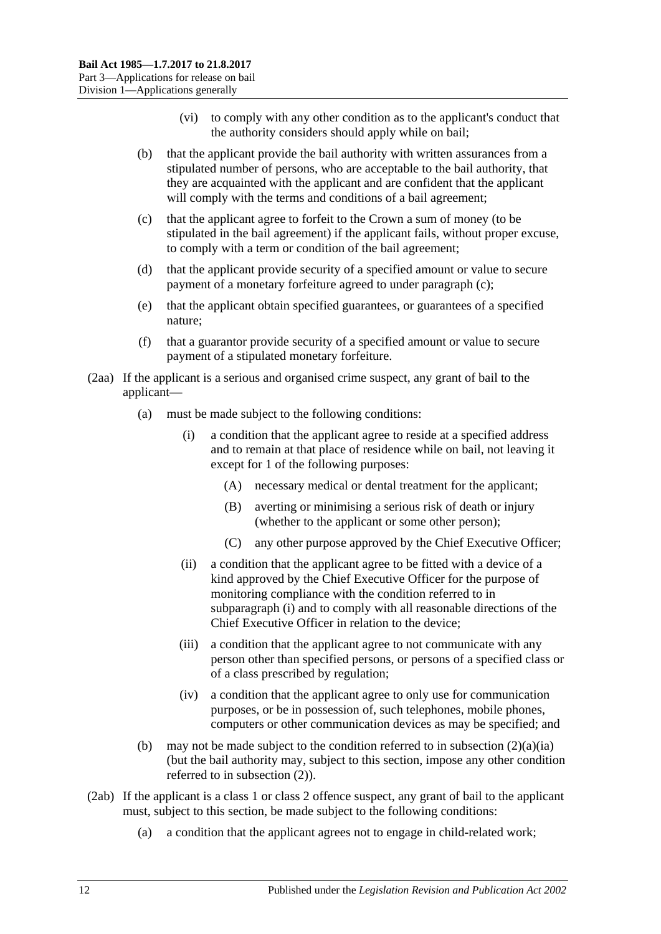- (vi) to comply with any other condition as to the applicant's conduct that the authority considers should apply while on bail;
- (b) that the applicant provide the bail authority with written assurances from a stipulated number of persons, who are acceptable to the bail authority, that they are acquainted with the applicant and are confident that the applicant will comply with the terms and conditions of a bail agreement;
- <span id="page-11-0"></span>(c) that the applicant agree to forfeit to the Crown a sum of money (to be stipulated in the bail agreement) if the applicant fails, without proper excuse, to comply with a term or condition of the bail agreement;
- (d) that the applicant provide security of a specified amount or value to secure payment of a monetary forfeiture agreed to under [paragraph](#page-11-0) (c);
- (e) that the applicant obtain specified guarantees, or guarantees of a specified nature;
- (f) that a guarantor provide security of a specified amount or value to secure payment of a stipulated monetary forfeiture.
- <span id="page-11-1"></span>(2aa) If the applicant is a serious and organised crime suspect, any grant of bail to the applicant—
	- (a) must be made subject to the following conditions:
		- (i) a condition that the applicant agree to reside at a specified address and to remain at that place of residence while on bail, not leaving it except for 1 of the following purposes:
			- (A) necessary medical or dental treatment for the applicant;
			- (B) averting or minimising a serious risk of death or injury (whether to the applicant or some other person);
			- (C) any other purpose approved by the Chief Executive Officer;
		- (ii) a condition that the applicant agree to be fitted with a device of a kind approved by the Chief Executive Officer for the purpose of monitoring compliance with the condition referred to in [subparagraph](#page-11-1) (i) and to comply with all reasonable directions of the Chief Executive Officer in relation to the device;
		- (iii) a condition that the applicant agree to not communicate with any person other than specified persons, or persons of a specified class or of a class prescribed by regulation;
		- (iv) a condition that the applicant agree to only use for communication purposes, or be in possession of, such telephones, mobile phones, computers or other communication devices as may be specified; and
	- (b) may not be made subject to the condition referred to in [subsection](#page-10-5)  $(2)(a)(ia)$ (but the bail authority may, subject to this section, impose any other condition referred to in [subsection](#page-10-4) (2)).
- <span id="page-11-2"></span>(2ab) If the applicant is a class 1 or class 2 offence suspect, any grant of bail to the applicant must, subject to this section, be made subject to the following conditions:
	- (a) a condition that the applicant agrees not to engage in child-related work;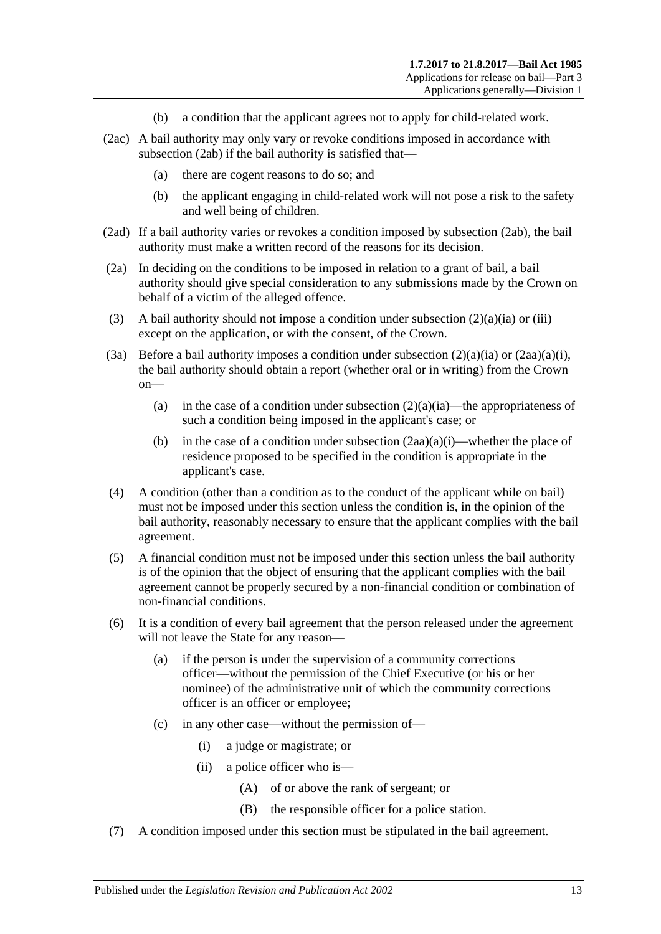- (b) a condition that the applicant agrees not to apply for child-related work.
- (2ac) A bail authority may only vary or revoke conditions imposed in accordance with [subsection](#page-11-2) (2ab) if the bail authority is satisfied that—
	- (a) there are cogent reasons to do so; and
	- (b) the applicant engaging in child-related work will not pose a risk to the safety and well being of children.
- (2ad) If a bail authority varies or revokes a condition imposed by [subsection](#page-11-2) (2ab), the bail authority must make a written record of the reasons for its decision.
- (2a) In deciding on the conditions to be imposed in relation to a grant of bail, a bail authority should give special consideration to any submissions made by the Crown on behalf of a victim of the alleged offence.
- (3) A bail authority should not impose a condition under [subsection](#page-10-5)  $(2)(a)(ia)$  or [\(iii\)](#page-10-6) except on the application, or with the consent, of the Crown.
- (3a) Before a bail authority imposes a condition under [subsection](#page-10-5)  $(2)(a)(ia)$  or  $(2aa)(a)(i)$ , the bail authority should obtain a report (whether oral or in writing) from the Crown on
	- (a) in the case of a condition under [subsection](#page-10-5)  $(2)(a)(ia)$ —the appropriateness of such a condition being imposed in the applicant's case; or
	- (b) in the case of a condition under [subsection](#page-11-1)  $(2aa)(a)(i)$ —whether the place of residence proposed to be specified in the condition is appropriate in the applicant's case.
- (4) A condition (other than a condition as to the conduct of the applicant while on bail) must not be imposed under this section unless the condition is, in the opinion of the bail authority, reasonably necessary to ensure that the applicant complies with the bail agreement.
- (5) A financial condition must not be imposed under this section unless the bail authority is of the opinion that the object of ensuring that the applicant complies with the bail agreement cannot be properly secured by a non-financial condition or combination of non-financial conditions.
- (6) It is a condition of every bail agreement that the person released under the agreement will not leave the State for any reason—
	- (a) if the person is under the supervision of a community corrections officer—without the permission of the Chief Executive (or his or her nominee) of the administrative unit of which the community corrections officer is an officer or employee;
	- (c) in any other case—without the permission of—
		- (i) a judge or magistrate; or
		- (ii) a police officer who is—
			- (A) of or above the rank of sergeant; or
			- (B) the responsible officer for a police station.
- (7) A condition imposed under this section must be stipulated in the bail agreement.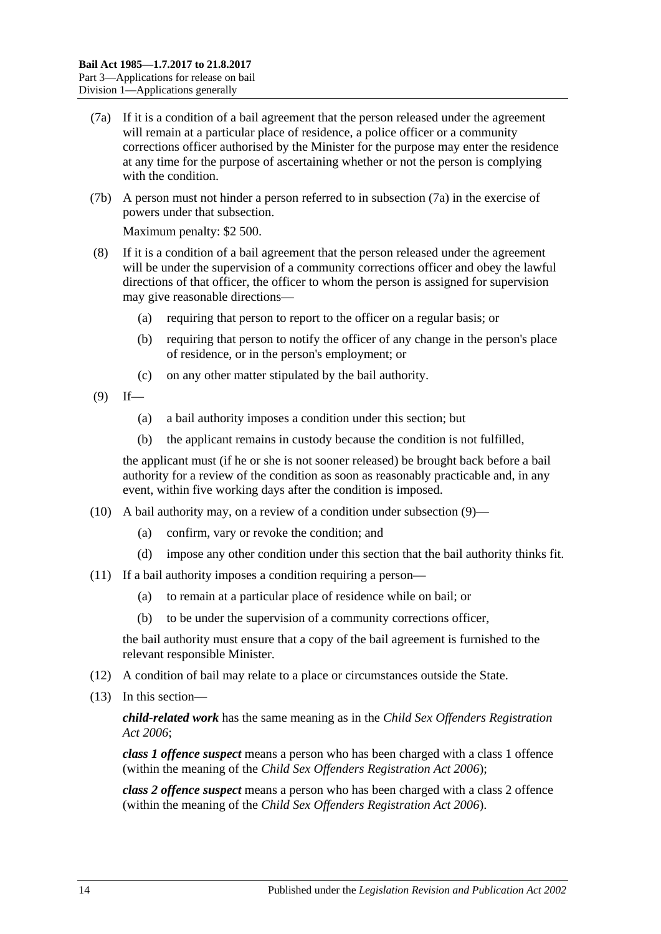- <span id="page-13-0"></span>(7a) If it is a condition of a bail agreement that the person released under the agreement will remain at a particular place of residence, a police officer or a community corrections officer authorised by the Minister for the purpose may enter the residence at any time for the purpose of ascertaining whether or not the person is complying with the condition.
- (7b) A person must not hinder a person referred to in [subsection](#page-13-0) (7a) in the exercise of powers under that subsection.

Maximum penalty: \$2 500.

- (8) If it is a condition of a bail agreement that the person released under the agreement will be under the supervision of a community corrections officer and obey the lawful directions of that officer, the officer to whom the person is assigned for supervision may give reasonable directions—
	- (a) requiring that person to report to the officer on a regular basis; or
	- (b) requiring that person to notify the officer of any change in the person's place of residence, or in the person's employment; or
	- (c) on any other matter stipulated by the bail authority.
- <span id="page-13-1"></span> $(9)$  If—
	- (a) a bail authority imposes a condition under this section; but
	- (b) the applicant remains in custody because the condition is not fulfilled,

the applicant must (if he or she is not sooner released) be brought back before a bail authority for a review of the condition as soon as reasonably practicable and, in any event, within five working days after the condition is imposed.

- (10) A bail authority may, on a review of a condition under [subsection](#page-13-1) (9)—
	- (a) confirm, vary or revoke the condition; and
	- (d) impose any other condition under this section that the bail authority thinks fit.
- (11) If a bail authority imposes a condition requiring a person—
	- (a) to remain at a particular place of residence while on bail; or
	- (b) to be under the supervision of a community corrections officer,

the bail authority must ensure that a copy of the bail agreement is furnished to the relevant responsible Minister.

- (12) A condition of bail may relate to a place or circumstances outside the State.
- (13) In this section—

*child-related work* has the same meaning as in the *[Child Sex Offenders Registration](http://www.legislation.sa.gov.au/index.aspx?action=legref&type=act&legtitle=Child%20Sex%20Offenders%20Registration%20Act%202006)  Act [2006](http://www.legislation.sa.gov.au/index.aspx?action=legref&type=act&legtitle=Child%20Sex%20Offenders%20Registration%20Act%202006)*;

*class 1 offence suspect* means a person who has been charged with a class 1 offence (within the meaning of the *[Child Sex Offenders Registration Act](http://www.legislation.sa.gov.au/index.aspx?action=legref&type=act&legtitle=Child%20Sex%20Offenders%20Registration%20Act%202006) 2006*);

*class 2 offence suspect* means a person who has been charged with a class 2 offence (within the meaning of the *[Child Sex Offenders Registration Act](http://www.legislation.sa.gov.au/index.aspx?action=legref&type=act&legtitle=Child%20Sex%20Offenders%20Registration%20Act%202006) 2006*).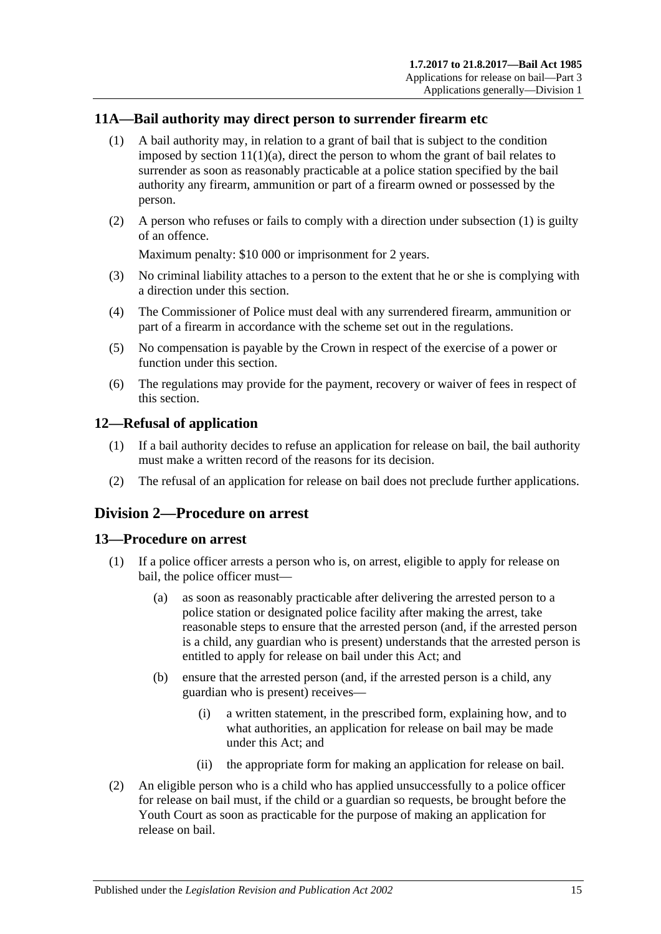### <span id="page-14-4"></span><span id="page-14-0"></span>**11A—Bail authority may direct person to surrender firearm etc**

- (1) A bail authority may, in relation to a grant of bail that is subject to the condition imposed by section  $11(1)(a)$ , direct the person to whom the grant of bail relates to surrender as soon as reasonably practicable at a police station specified by the bail authority any firearm, ammunition or part of a firearm owned or possessed by the person.
- (2) A person who refuses or fails to comply with a direction under [subsection](#page-14-4) (1) is guilty of an offence.

Maximum penalty: \$10 000 or imprisonment for 2 years.

- (3) No criminal liability attaches to a person to the extent that he or she is complying with a direction under this section.
- (4) The Commissioner of Police must deal with any surrendered firearm, ammunition or part of a firearm in accordance with the scheme set out in the regulations.
- (5) No compensation is payable by the Crown in respect of the exercise of a power or function under this section.
- (6) The regulations may provide for the payment, recovery or waiver of fees in respect of this section.

### <span id="page-14-1"></span>**12—Refusal of application**

- (1) If a bail authority decides to refuse an application for release on bail, the bail authority must make a written record of the reasons for its decision.
- (2) The refusal of an application for release on bail does not preclude further applications.

### <span id="page-14-2"></span>**Division 2—Procedure on arrest**

### <span id="page-14-3"></span>**13—Procedure on arrest**

- (1) If a police officer arrests a person who is, on arrest, eligible to apply for release on bail, the police officer must—
	- (a) as soon as reasonably practicable after delivering the arrested person to a police station or designated police facility after making the arrest, take reasonable steps to ensure that the arrested person (and, if the arrested person is a child, any guardian who is present) understands that the arrested person is entitled to apply for release on bail under this Act; and
	- (b) ensure that the arrested person (and, if the arrested person is a child, any guardian who is present) receives—
		- (i) a written statement, in the prescribed form, explaining how, and to what authorities, an application for release on bail may be made under this Act; and
		- (ii) the appropriate form for making an application for release on bail.
- (2) An eligible person who is a child who has applied unsuccessfully to a police officer for release on bail must, if the child or a guardian so requests, be brought before the Youth Court as soon as practicable for the purpose of making an application for release on bail.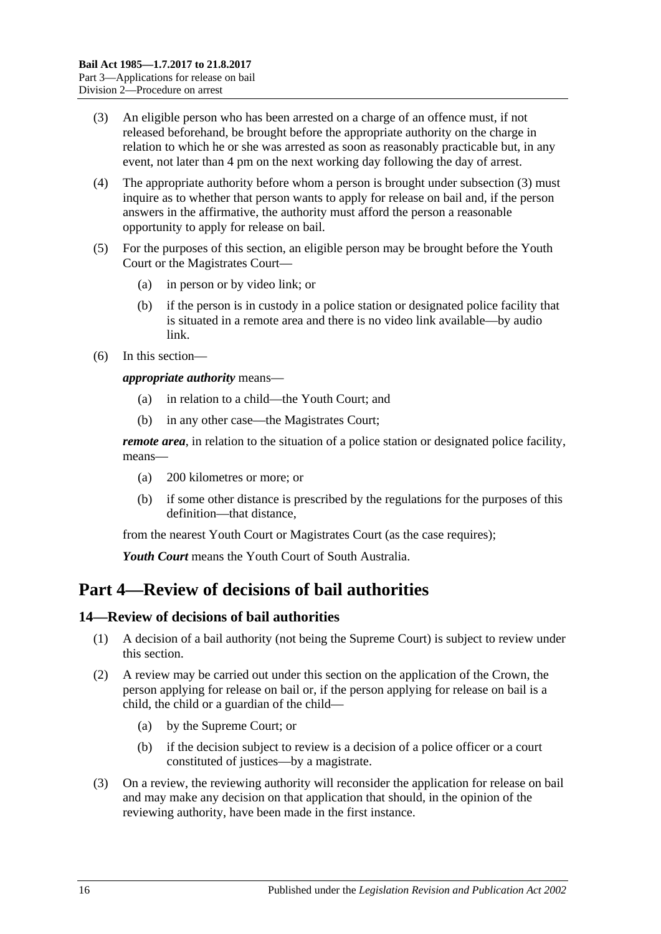- <span id="page-15-2"></span>(3) An eligible person who has been arrested on a charge of an offence must, if not released beforehand, be brought before the appropriate authority on the charge in relation to which he or she was arrested as soon as reasonably practicable but, in any event, not later than 4 pm on the next working day following the day of arrest.
- (4) The appropriate authority before whom a person is brought under [subsection](#page-15-2) (3) must inquire as to whether that person wants to apply for release on bail and, if the person answers in the affirmative, the authority must afford the person a reasonable opportunity to apply for release on bail.
- (5) For the purposes of this section, an eligible person may be brought before the Youth Court or the Magistrates Court—
	- (a) in person or by video link; or
	- (b) if the person is in custody in a police station or designated police facility that is situated in a remote area and there is no video link available—by audio link.
- (6) In this section—

*appropriate authority* means—

- (a) in relation to a child—the Youth Court; and
- (b) in any other case—the Magistrates Court;

*remote area*, in relation to the situation of a police station or designated police facility, means—

- (a) 200 kilometres or more; or
- (b) if some other distance is prescribed by the regulations for the purposes of this definition—that distance,

from the nearest Youth Court or Magistrates Court (as the case requires);

*Youth Court* means the Youth Court of South Australia.

# <span id="page-15-0"></span>**Part 4—Review of decisions of bail authorities**

### <span id="page-15-1"></span>**14—Review of decisions of bail authorities**

- (1) A decision of a bail authority (not being the Supreme Court) is subject to review under this section.
- (2) A review may be carried out under this section on the application of the Crown, the person applying for release on bail or, if the person applying for release on bail is a child, the child or a guardian of the child—
	- (a) by the Supreme Court; or
	- (b) if the decision subject to review is a decision of a police officer or a court constituted of justices—by a magistrate.
- (3) On a review, the reviewing authority will reconsider the application for release on bail and may make any decision on that application that should, in the opinion of the reviewing authority, have been made in the first instance.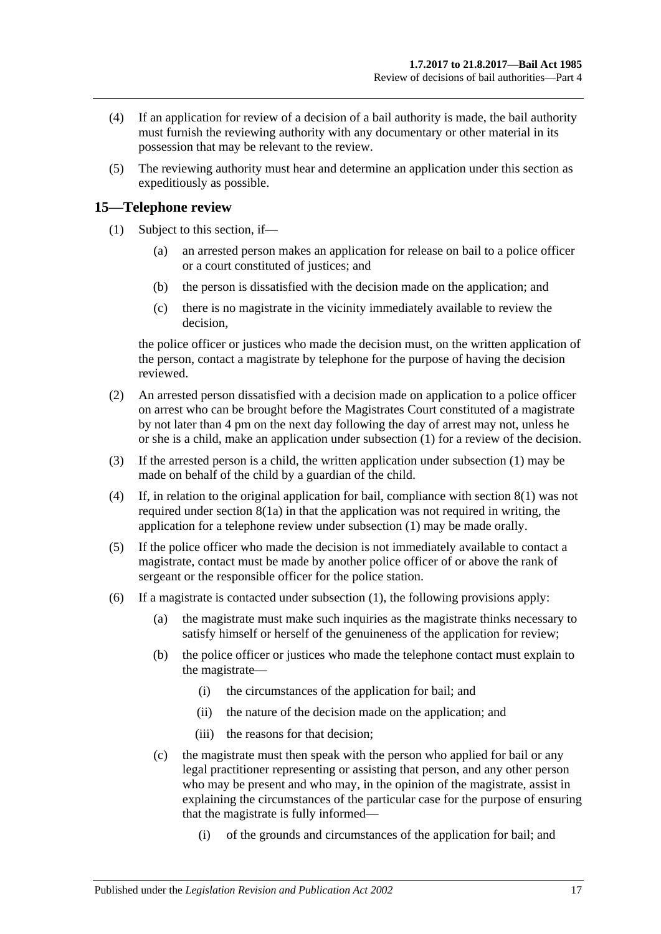- (4) If an application for review of a decision of a bail authority is made, the bail authority must furnish the reviewing authority with any documentary or other material in its possession that may be relevant to the review.
- (5) The reviewing authority must hear and determine an application under this section as expeditiously as possible.

### <span id="page-16-1"></span><span id="page-16-0"></span>**15—Telephone review**

- (1) Subject to this section, if—
	- (a) an arrested person makes an application for release on bail to a police officer or a court constituted of justices; and
	- (b) the person is dissatisfied with the decision made on the application; and
	- (c) there is no magistrate in the vicinity immediately available to review the decision,

the police officer or justices who made the decision must, on the written application of the person, contact a magistrate by telephone for the purpose of having the decision reviewed.

- <span id="page-16-2"></span>(2) An arrested person dissatisfied with a decision made on application to a police officer on arrest who can be brought before the Magistrates Court constituted of a magistrate by not later than 4 pm on the next day following the day of arrest may not, unless he or she is a child, make an application under [subsection](#page-16-1) (1) for a review of the decision.
- (3) If the arrested person is a child, the written application under [subsection](#page-16-1) (1) may be made on behalf of the child by a guardian of the child.
- (4) If, in relation to the original application for bail, compliance with [section](#page-7-5) 8(1) was not required under [section](#page-7-4) 8(1a) in that the application was not required in writing, the application for a telephone review under [subsection](#page-16-1) (1) may be made orally.
- (5) If the police officer who made the decision is not immediately available to contact a magistrate, contact must be made by another police officer of or above the rank of sergeant or the responsible officer for the police station.
- (6) If a magistrate is contacted under [subsection](#page-16-1) (1), the following provisions apply:
	- (a) the magistrate must make such inquiries as the magistrate thinks necessary to satisfy himself or herself of the genuineness of the application for review;
	- (b) the police officer or justices who made the telephone contact must explain to the magistrate—
		- (i) the circumstances of the application for bail; and
		- (ii) the nature of the decision made on the application; and
		- (iii) the reasons for that decision;
	- (c) the magistrate must then speak with the person who applied for bail or any legal practitioner representing or assisting that person, and any other person who may be present and who may, in the opinion of the magistrate, assist in explaining the circumstances of the particular case for the purpose of ensuring that the magistrate is fully informed—
		- (i) of the grounds and circumstances of the application for bail; and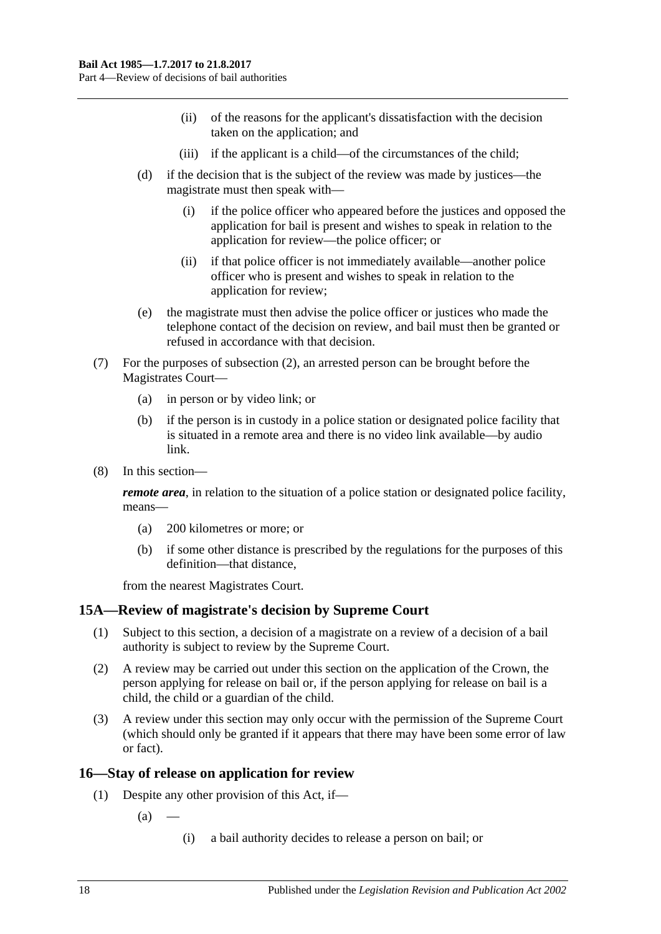- (ii) of the reasons for the applicant's dissatisfaction with the decision taken on the application; and
- (iii) if the applicant is a child—of the circumstances of the child;
- (d) if the decision that is the subject of the review was made by justices—the magistrate must then speak with—
	- (i) if the police officer who appeared before the justices and opposed the application for bail is present and wishes to speak in relation to the application for review—the police officer; or
	- (ii) if that police officer is not immediately available—another police officer who is present and wishes to speak in relation to the application for review;
- (e) the magistrate must then advise the police officer or justices who made the telephone contact of the decision on review, and bail must then be granted or refused in accordance with that decision.
- (7) For the purposes of [subsection](#page-16-2) (2), an arrested person can be brought before the Magistrates Court—
	- (a) in person or by video link; or
	- (b) if the person is in custody in a police station or designated police facility that is situated in a remote area and there is no video link available—by audio link.
- (8) In this section—

*remote area*, in relation to the situation of a police station or designated police facility, means—

- (a) 200 kilometres or more; or
- (b) if some other distance is prescribed by the regulations for the purposes of this definition—that distance,

from the nearest Magistrates Court.

### <span id="page-17-0"></span>**15A—Review of magistrate's decision by Supreme Court**

- (1) Subject to this section, a decision of a magistrate on a review of a decision of a bail authority is subject to review by the Supreme Court.
- (2) A review may be carried out under this section on the application of the Crown, the person applying for release on bail or, if the person applying for release on bail is a child, the child or a guardian of the child.
- (3) A review under this section may only occur with the permission of the Supreme Court (which should only be granted if it appears that there may have been some error of law or fact).

### <span id="page-17-1"></span>**16—Stay of release on application for review**

- (1) Despite any other provision of this Act, if—
	- $(a)$ 
		- (i) a bail authority decides to release a person on bail; or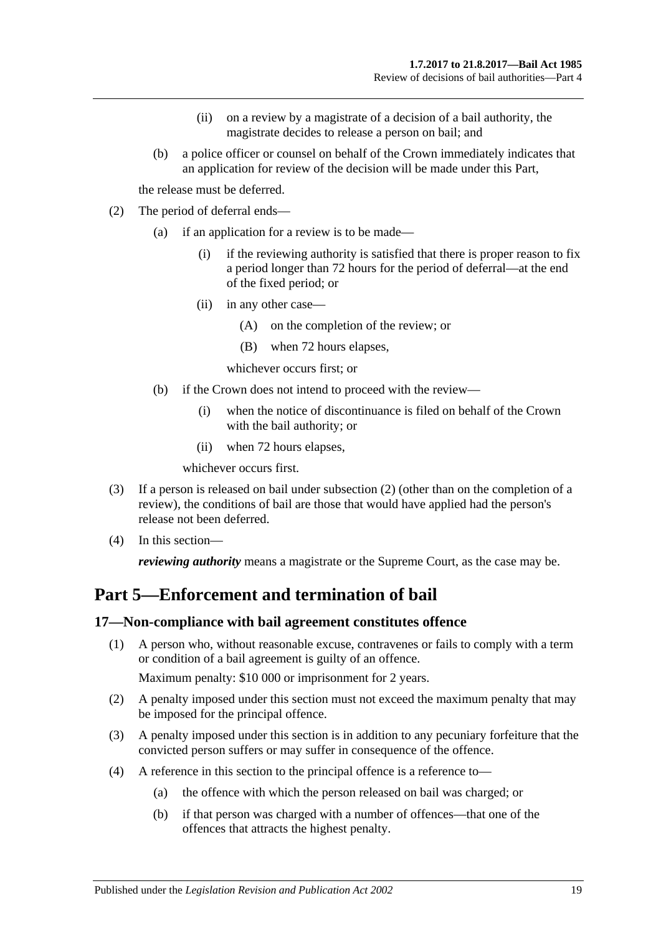- (ii) on a review by a magistrate of a decision of a bail authority, the magistrate decides to release a person on bail; and
- (b) a police officer or counsel on behalf of the Crown immediately indicates that an application for review of the decision will be made under this Part,

the release must be deferred.

- <span id="page-18-2"></span>(2) The period of deferral ends—
	- (a) if an application for a review is to be made—
		- (i) if the reviewing authority is satisfied that there is proper reason to fix a period longer than 72 hours for the period of deferral—at the end of the fixed period; or
		- (ii) in any other case—
			- (A) on the completion of the review; or
			- (B) when 72 hours elapses,

whichever occurs first; or

- (b) if the Crown does not intend to proceed with the review—
	- (i) when the notice of discontinuance is filed on behalf of the Crown with the bail authority; or
	- (ii) when 72 hours elapses,

whichever occurs first.

- (3) If a person is released on bail under [subsection](#page-18-2) (2) (other than on the completion of a review), the conditions of bail are those that would have applied had the person's release not been deferred.
- (4) In this section—

*reviewing authority* means a magistrate or the Supreme Court, as the case may be.

# <span id="page-18-0"></span>**Part 5—Enforcement and termination of bail**

### <span id="page-18-1"></span>**17—Non-compliance with bail agreement constitutes offence**

(1) A person who, without reasonable excuse, contravenes or fails to comply with a term or condition of a bail agreement is guilty of an offence.

Maximum penalty: \$10 000 or imprisonment for 2 years.

- (2) A penalty imposed under this section must not exceed the maximum penalty that may be imposed for the principal offence.
- (3) A penalty imposed under this section is in addition to any pecuniary forfeiture that the convicted person suffers or may suffer in consequence of the offence.
- (4) A reference in this section to the principal offence is a reference to—
	- (a) the offence with which the person released on bail was charged; or
	- (b) if that person was charged with a number of offences—that one of the offences that attracts the highest penalty.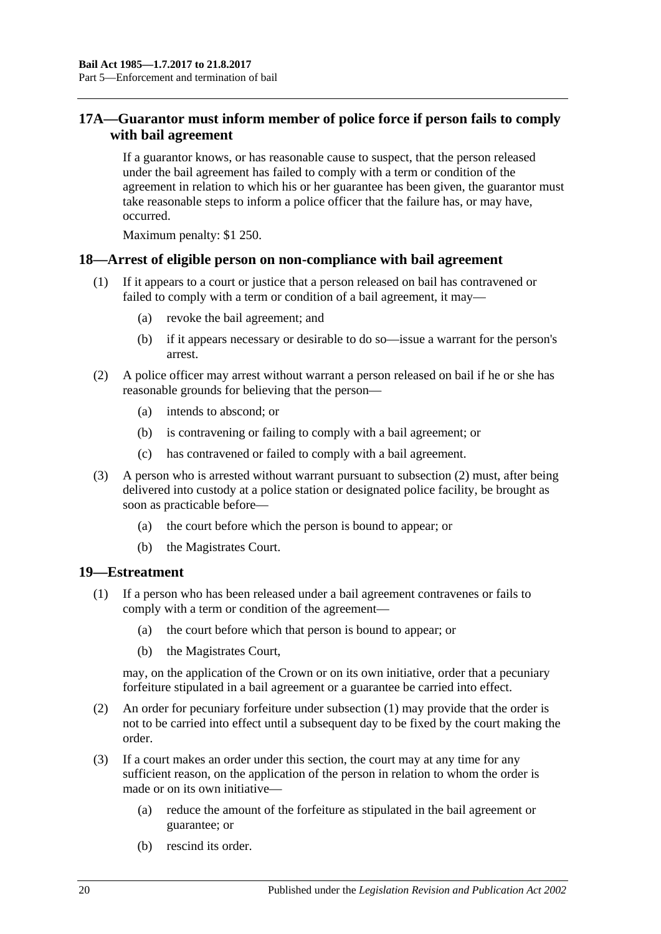### <span id="page-19-0"></span>**17A—Guarantor must inform member of police force if person fails to comply with bail agreement**

If a guarantor knows, or has reasonable cause to suspect, that the person released under the bail agreement has failed to comply with a term or condition of the agreement in relation to which his or her guarantee has been given, the guarantor must take reasonable steps to inform a police officer that the failure has, or may have, occurred.

Maximum penalty: \$1 250.

### <span id="page-19-1"></span>**18—Arrest of eligible person on non-compliance with bail agreement**

- (1) If it appears to a court or justice that a person released on bail has contravened or failed to comply with a term or condition of a bail agreement, it may—
	- (a) revoke the bail agreement; and
	- (b) if it appears necessary or desirable to do so—issue a warrant for the person's arrest.
- <span id="page-19-3"></span>(2) A police officer may arrest without warrant a person released on bail if he or she has reasonable grounds for believing that the person—
	- (a) intends to abscond; or
	- (b) is contravening or failing to comply with a bail agreement; or
	- (c) has contravened or failed to comply with a bail agreement.
- (3) A person who is arrested without warrant pursuant to [subsection](#page-19-3) (2) must, after being delivered into custody at a police station or designated police facility, be brought as soon as practicable before—
	- (a) the court before which the person is bound to appear; or
	- (b) the Magistrates Court.

### <span id="page-19-4"></span><span id="page-19-2"></span>**19—Estreatment**

- (1) If a person who has been released under a bail agreement contravenes or fails to comply with a term or condition of the agreement—
	- (a) the court before which that person is bound to appear; or
	- (b) the Magistrates Court,

may, on the application of the Crown or on its own initiative, order that a pecuniary forfeiture stipulated in a bail agreement or a guarantee be carried into effect.

- (2) An order for pecuniary forfeiture under [subsection](#page-19-4) (1) may provide that the order is not to be carried into effect until a subsequent day to be fixed by the court making the order.
- (3) If a court makes an order under this section, the court may at any time for any sufficient reason, on the application of the person in relation to whom the order is made or on its own initiative—
	- (a) reduce the amount of the forfeiture as stipulated in the bail agreement or guarantee; or
	- (b) rescind its order.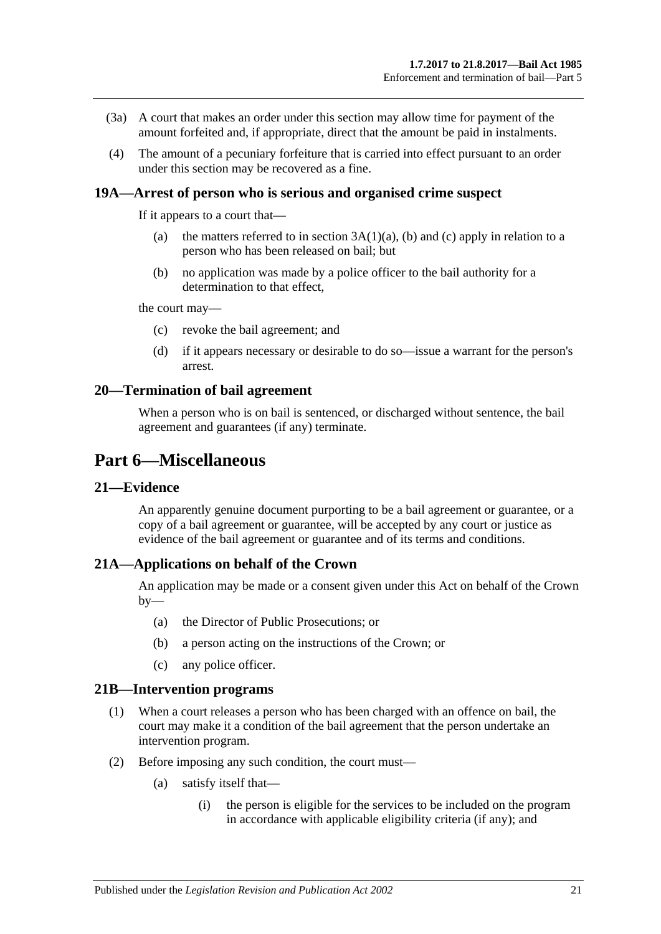- (3a) A court that makes an order under this section may allow time for payment of the amount forfeited and, if appropriate, direct that the amount be paid in instalments.
- (4) The amount of a pecuniary forfeiture that is carried into effect pursuant to an order under this section may be recovered as a fine.

### <span id="page-20-0"></span>**19A—Arrest of person who is serious and organised crime suspect**

If it appears to a court that—

- (a) the matters referred to in section  $3A(1)(a)$ , [\(b\)](#page-3-5) and [\(c\)](#page-3-6) apply in relation to a person who has been released on bail; but
- (b) no application was made by a police officer to the bail authority for a determination to that effect,

the court may—

- (c) revoke the bail agreement; and
- (d) if it appears necessary or desirable to do so—issue a warrant for the person's arrest.

### <span id="page-20-1"></span>**20—Termination of bail agreement**

When a person who is on bail is sentenced, or discharged without sentence, the bail agreement and guarantees (if any) terminate.

# <span id="page-20-2"></span>**Part 6—Miscellaneous**

### <span id="page-20-3"></span>**21—Evidence**

An apparently genuine document purporting to be a bail agreement or guarantee, or a copy of a bail agreement or guarantee, will be accepted by any court or justice as evidence of the bail agreement or guarantee and of its terms and conditions.

### <span id="page-20-4"></span>**21A—Applications on behalf of the Crown**

An application may be made or a consent given under this Act on behalf of the Crown  $by-$ 

- (a) the Director of Public Prosecutions; or
- (b) a person acting on the instructions of the Crown; or
- (c) any police officer.

#### <span id="page-20-5"></span>**21B—Intervention programs**

- (1) When a court releases a person who has been charged with an offence on bail, the court may make it a condition of the bail agreement that the person undertake an intervention program.
- (2) Before imposing any such condition, the court must—
	- (a) satisfy itself that—
		- (i) the person is eligible for the services to be included on the program in accordance with applicable eligibility criteria (if any); and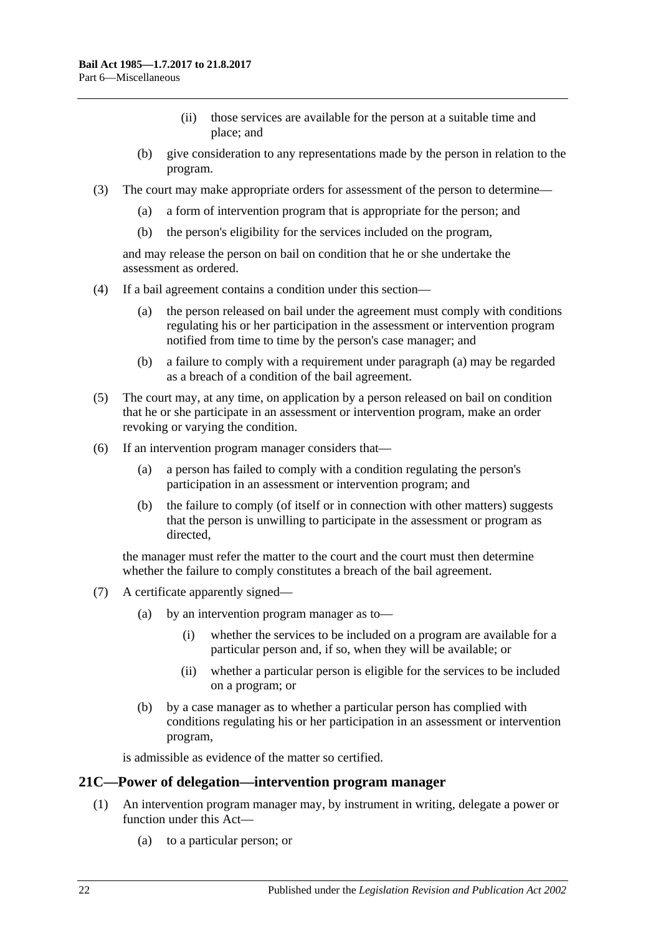- (ii) those services are available for the person at a suitable time and place; and
- (b) give consideration to any representations made by the person in relation to the program.
- (3) The court may make appropriate orders for assessment of the person to determine—
	- (a) a form of intervention program that is appropriate for the person; and
	- (b) the person's eligibility for the services included on the program,

and may release the person on bail on condition that he or she undertake the assessment as ordered.

- <span id="page-21-1"></span>(4) If a bail agreement contains a condition under this section—
	- (a) the person released on bail under the agreement must comply with conditions regulating his or her participation in the assessment or intervention program notified from time to time by the person's case manager; and
	- (b) a failure to comply with a requirement under [paragraph](#page-21-1) (a) may be regarded as a breach of a condition of the bail agreement.
- (5) The court may, at any time, on application by a person released on bail on condition that he or she participate in an assessment or intervention program, make an order revoking or varying the condition.
- (6) If an intervention program manager considers that—
	- (a) a person has failed to comply with a condition regulating the person's participation in an assessment or intervention program; and
	- (b) the failure to comply (of itself or in connection with other matters) suggests that the person is unwilling to participate in the assessment or program as directed,

the manager must refer the matter to the court and the court must then determine whether the failure to comply constitutes a breach of the bail agreement.

- (7) A certificate apparently signed—
	- (a) by an intervention program manager as to—
		- (i) whether the services to be included on a program are available for a particular person and, if so, when they will be available; or
		- (ii) whether a particular person is eligible for the services to be included on a program; or
	- (b) by a case manager as to whether a particular person has complied with conditions regulating his or her participation in an assessment or intervention program,

is admissible as evidence of the matter so certified.

### <span id="page-21-0"></span>**21C—Power of delegation—intervention program manager**

- (1) An intervention program manager may, by instrument in writing, delegate a power or function under this Act—
	- (a) to a particular person; or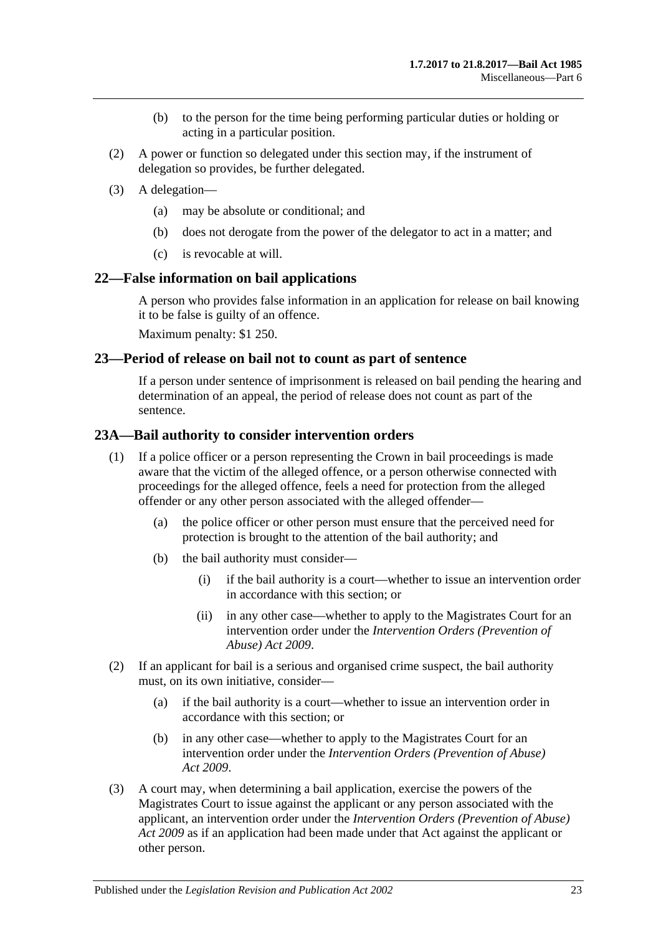- (b) to the person for the time being performing particular duties or holding or acting in a particular position.
- (2) A power or function so delegated under this section may, if the instrument of delegation so provides, be further delegated.
- (3) A delegation—
	- (a) may be absolute or conditional; and
	- (b) does not derogate from the power of the delegator to act in a matter; and
	- (c) is revocable at will.

### <span id="page-22-0"></span>**22—False information on bail applications**

A person who provides false information in an application for release on bail knowing it to be false is guilty of an offence.

Maximum penalty: \$1 250.

### <span id="page-22-1"></span>**23—Period of release on bail not to count as part of sentence**

If a person under sentence of imprisonment is released on bail pending the hearing and determination of an appeal, the period of release does not count as part of the sentence.

### <span id="page-22-2"></span>**23A—Bail authority to consider intervention orders**

- (1) If a police officer or a person representing the Crown in bail proceedings is made aware that the victim of the alleged offence, or a person otherwise connected with proceedings for the alleged offence, feels a need for protection from the alleged offender or any other person associated with the alleged offender—
	- (a) the police officer or other person must ensure that the perceived need for protection is brought to the attention of the bail authority; and
	- (b) the bail authority must consider—
		- (i) if the bail authority is a court—whether to issue an intervention order in accordance with this section; or
		- (ii) in any other case—whether to apply to the Magistrates Court for an intervention order under the *[Intervention Orders \(Prevention of](http://www.legislation.sa.gov.au/index.aspx?action=legref&type=act&legtitle=Intervention%20Orders%20(Prevention%20of%20Abuse)%20Act%202009)  [Abuse\) Act](http://www.legislation.sa.gov.au/index.aspx?action=legref&type=act&legtitle=Intervention%20Orders%20(Prevention%20of%20Abuse)%20Act%202009) 2009*.
- (2) If an applicant for bail is a serious and organised crime suspect, the bail authority must, on its own initiative, consider—
	- (a) if the bail authority is a court—whether to issue an intervention order in accordance with this section; or
	- (b) in any other case—whether to apply to the Magistrates Court for an intervention order under the *[Intervention Orders \(Prevention of Abuse\)](http://www.legislation.sa.gov.au/index.aspx?action=legref&type=act&legtitle=Intervention%20Orders%20(Prevention%20of%20Abuse)%20Act%202009)  Act [2009](http://www.legislation.sa.gov.au/index.aspx?action=legref&type=act&legtitle=Intervention%20Orders%20(Prevention%20of%20Abuse)%20Act%202009)*.
- (3) A court may, when determining a bail application, exercise the powers of the Magistrates Court to issue against the applicant or any person associated with the applicant, an intervention order under the *[Intervention Orders \(Prevention of Abuse\)](http://www.legislation.sa.gov.au/index.aspx?action=legref&type=act&legtitle=Intervention%20Orders%20(Prevention%20of%20Abuse)%20Act%202009)  Act [2009](http://www.legislation.sa.gov.au/index.aspx?action=legref&type=act&legtitle=Intervention%20Orders%20(Prevention%20of%20Abuse)%20Act%202009)* as if an application had been made under that Act against the applicant or other person.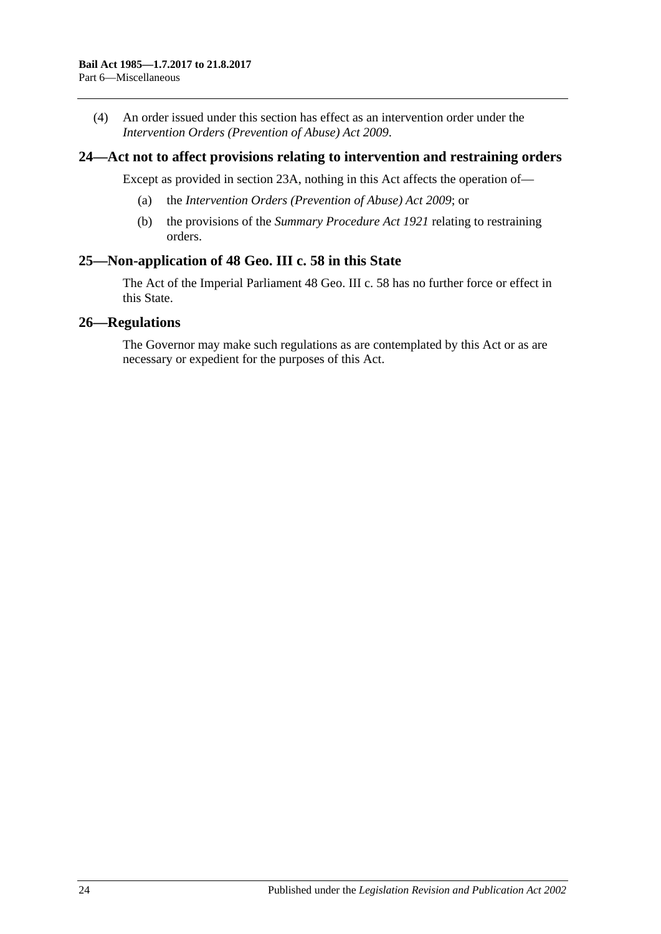(4) An order issued under this section has effect as an intervention order under the *[Intervention Orders \(Prevention of Abuse\) Act](http://www.legislation.sa.gov.au/index.aspx?action=legref&type=act&legtitle=Intervention%20Orders%20(Prevention%20of%20Abuse)%20Act%202009) 2009*.

### <span id="page-23-0"></span>**24—Act not to affect provisions relating to intervention and restraining orders**

Except as provided in [section](#page-22-2) 23A, nothing in this Act affects the operation of—

- (a) the *[Intervention Orders \(Prevention of Abuse\) Act](http://www.legislation.sa.gov.au/index.aspx?action=legref&type=act&legtitle=Intervention%20Orders%20(Prevention%20of%20Abuse)%20Act%202009) 2009*; or
- (b) the provisions of the *[Summary Procedure Act](http://www.legislation.sa.gov.au/index.aspx?action=legref&type=act&legtitle=Summary%20Procedure%20Act%201921) 1921* relating to restraining orders.

### <span id="page-23-1"></span>**25—Non-application of 48 Geo. III c. 58 in this State**

The Act of the Imperial Parliament 48 Geo. III c. 58 has no further force or effect in this State.

### <span id="page-23-2"></span>**26—Regulations**

The Governor may make such regulations as are contemplated by this Act or as are necessary or expedient for the purposes of this Act.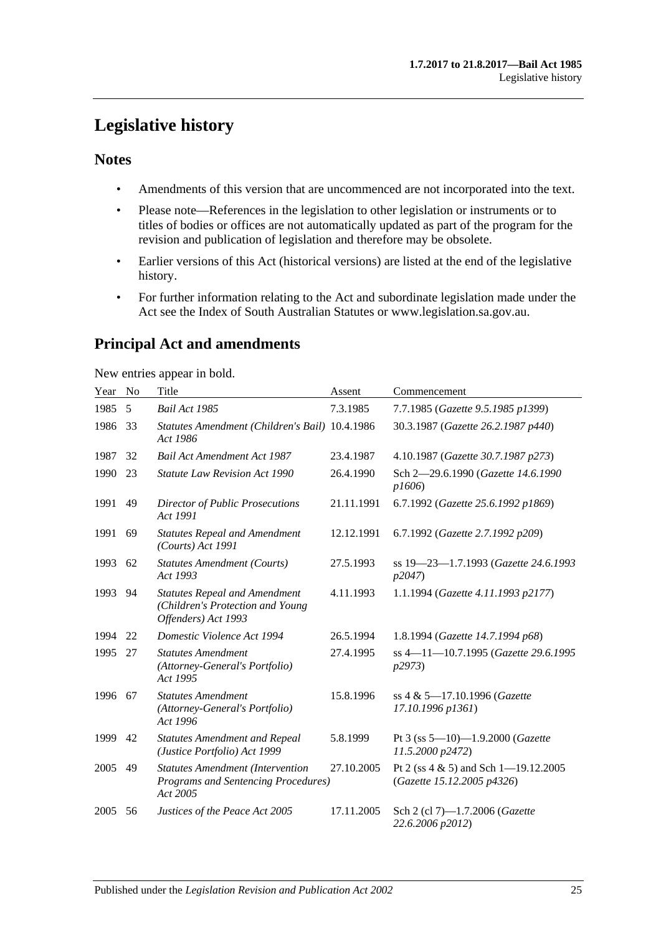# <span id="page-24-0"></span>**Legislative history**

### **Notes**

- Amendments of this version that are uncommenced are not incorporated into the text.
- Please note—References in the legislation to other legislation or instruments or to titles of bodies or offices are not automatically updated as part of the program for the revision and publication of legislation and therefore may be obsolete.
- Earlier versions of this Act (historical versions) are listed at the end of the legislative history.
- For further information relating to the Act and subordinate legislation made under the Act see the Index of South Australian Statutes or www.legislation.sa.gov.au.

# **Principal Act and amendments**

New entries appear in bold.

| Year | No | Title                                                                                           | Assent     | Commencement                                                           |
|------|----|-------------------------------------------------------------------------------------------------|------------|------------------------------------------------------------------------|
| 1985 | 5  | Bail Act 1985                                                                                   | 7.3.1985   | 7.7.1985 (Gazette 9.5.1985 p1399)                                      |
| 1986 | 33 | Statutes Amendment (Children's Bail) 10.4.1986<br>Act 1986                                      |            | 30.3.1987 (Gazette 26.2.1987 p440)                                     |
| 1987 | 32 | <b>Bail Act Amendment Act 1987</b>                                                              | 23.4.1987  | 4.10.1987 (Gazette 30.7.1987 p273)                                     |
| 1990 | 23 | <b>Statute Law Revision Act 1990</b>                                                            | 26.4.1990  | Sch 2-29.6.1990 (Gazette 14.6.1990<br>p1606                            |
| 1991 | 49 | <b>Director of Public Prosecutions</b><br>Act 1991                                              | 21.11.1991 | 6.7.1992 (Gazette 25.6.1992 p1869)                                     |
| 1991 | 69 | <b>Statutes Repeal and Amendment</b><br>(Courts) Act 1991                                       | 12.12.1991 | 6.7.1992 (Gazette 2.7.1992 p209)                                       |
| 1993 | 62 | <b>Statutes Amendment (Courts)</b><br>Act 1993                                                  | 27.5.1993  | ss 19-23-1.7.1993 (Gazette 24.6.1993<br>p2047                          |
| 1993 | 94 | <b>Statutes Repeal and Amendment</b><br>(Children's Protection and Young<br>Offenders) Act 1993 | 4.11.1993  | 1.1.1994 (Gazette 4.11.1993 p2177)                                     |
| 1994 | 22 | Domestic Violence Act 1994                                                                      | 26.5.1994  | 1.8.1994 (Gazette 14.7.1994 p68)                                       |
| 1995 | 27 | <b>Statutes Amendment</b><br>(Attorney-General's Portfolio)<br>Act 1995                         | 27.4.1995  | ss 4-11-10.7.1995 (Gazette 29.6.1995<br>p2973                          |
| 1996 | 67 | <b>Statutes Amendment</b><br>(Attorney-General's Portfolio)<br>Act 1996                         | 15.8.1996  | ss 4 & 5-17.10.1996 (Gazette<br>17.10.1996 p1361)                      |
| 1999 | 42 | <b>Statutes Amendment and Repeal</b><br>(Justice Portfolio) Act 1999                            | 5.8.1999   | Pt 3 (ss $5-10$ )-1.9.2000 (Gazette<br>11.5.2000 p2472)                |
| 2005 | 49 | <b>Statutes Amendment (Intervention</b><br>Programs and Sentencing Procedures)<br>Act 2005      | 27.10.2005 | Pt 2 (ss $4 \& 5$ ) and Sch 1-19.12.2005<br>(Gazette 15.12.2005 p4326) |
| 2005 | 56 | Justices of the Peace Act 2005                                                                  | 17.11.2005 | Sch 2 (cl 7)-1.7.2006 (Gazette<br>22.6.2006 p2012)                     |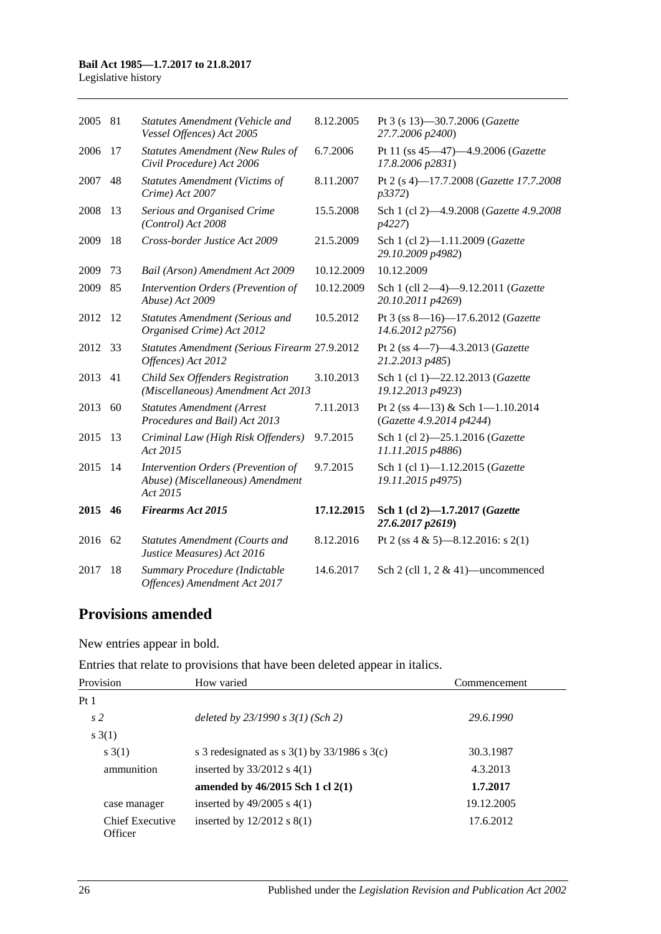### **Bail Act 1985—1.7.2017 to 21.8.2017**

Legislative history

| 2005 | 81 | Statutes Amendment (Vehicle and<br>Vessel Offences) Act 2005                       | 8.12.2005  | Pt 3 (s 13)-30.7.2006 (Gazette<br>27.7.2006 p2400)           |
|------|----|------------------------------------------------------------------------------------|------------|--------------------------------------------------------------|
| 2006 | 17 | <b>Statutes Amendment (New Rules of</b><br>Civil Procedure) Act 2006               | 6.7.2006   | Pt 11 (ss 45-47)-4.9.2006 (Gazette<br>17.8.2006 p2831)       |
| 2007 | 48 | <b>Statutes Amendment (Victims of</b><br>Crime) Act 2007                           | 8.11.2007  | Pt 2 (s 4)-17.7.2008 (Gazette 17.7.2008<br><i>p</i> 3372)    |
| 2008 | 13 | Serious and Organised Crime<br>(Control) Act 2008                                  | 15.5.2008  | Sch 1 (cl 2)-4.9.2008 (Gazette 4.9.2008<br><i>p4227</i> )    |
| 2009 | 18 | Cross-border Justice Act 2009                                                      | 21.5.2009  | Sch 1 (cl 2)-1.11.2009 (Gazette<br>29.10.2009 p4982)         |
| 2009 | 73 | Bail (Arson) Amendment Act 2009                                                    | 10.12.2009 | 10.12.2009                                                   |
| 2009 | 85 | Intervention Orders (Prevention of<br>Abuse) Act 2009                              | 10.12.2009 | Sch 1 (cll 2-4)-9.12.2011 (Gazette<br>20.10.2011 p4269)      |
| 2012 | 12 | <b>Statutes Amendment (Serious and</b><br>Organised Crime) Act 2012                | 10.5.2012  | Pt 3 (ss 8-16)-17.6.2012 (Gazette<br>14.6.2012 p2756)        |
| 2012 | 33 | Statutes Amendment (Serious Firearm 27.9.2012<br>Offences) Act 2012                |            | Pt 2 (ss 4-7)-4.3.2013 (Gazette<br>21.2.2013 p485)           |
| 2013 | 41 | Child Sex Offenders Registration<br>(Miscellaneous) Amendment Act 2013             | 3.10.2013  | Sch 1 (cl 1)-22.12.2013 (Gazette<br>19.12.2013 p4923)        |
| 2013 | 60 | <b>Statutes Amendment (Arrest</b><br>Procedures and Bail) Act 2013                 | 7.11.2013  | Pt 2 (ss 4-13) & Sch 1-1.10.2014<br>(Gazette 4.9.2014 p4244) |
| 2015 | 13 | Criminal Law (High Risk Offenders)<br>Act 2015                                     | 9.7.2015   | Sch 1 (cl 2)-25.1.2016 (Gazette<br>11.11.2015 p4886)         |
| 2015 | 14 | Intervention Orders (Prevention of<br>Abuse) (Miscellaneous) Amendment<br>Act 2015 | 9.7.2015   | Sch 1 (cl 1)-1.12.2015 (Gazette<br>19.11.2015 p4975)         |
| 2015 | 46 | <b>Firearms Act 2015</b>                                                           | 17.12.2015 | Sch 1 (cl 2)-1.7.2017 (Gazette<br>27.6.2017 p2619)           |
| 2016 | 62 | <b>Statutes Amendment (Courts and</b><br>Justice Measures) Act 2016                | 8.12.2016  | Pt 2 (ss 4 & 5)-8.12.2016: s 2(1)                            |
| 2017 | 18 | Summary Procedure (Indictable<br>Offences) Amendment Act 2017                      | 14.6.2017  | Sch 2 (cll $1, 2 \& 41$ )—uncommenced                        |

# **Provisions amended**

New entries appear in bold.

Entries that relate to provisions that have been deleted appear in italics.

| Provision                  | How varied                                         | Commencement |
|----------------------------|----------------------------------------------------|--------------|
| Pt 1                       |                                                    |              |
| s <sub>2</sub>             | deleted by $23/1990 s 3(1)$ (Sch 2)                | 29.6.1990    |
| s(1)                       |                                                    |              |
| s(1)                       | s 3 redesignated as s $3(1)$ by $33/1986$ s $3(c)$ | 30.3.1987    |
| ammunition                 | inserted by $33/2012$ s 4(1)                       | 4.3.2013     |
|                            | amended by $46/2015$ Sch 1 cl $2(1)$               | 1.7.2017     |
| case manager               | inserted by $49/2005$ s $4(1)$                     | 19.12.2005   |
| Chief Executive<br>Officer | inserted by $12/2012$ s $8(1)$                     | 17.6.2012    |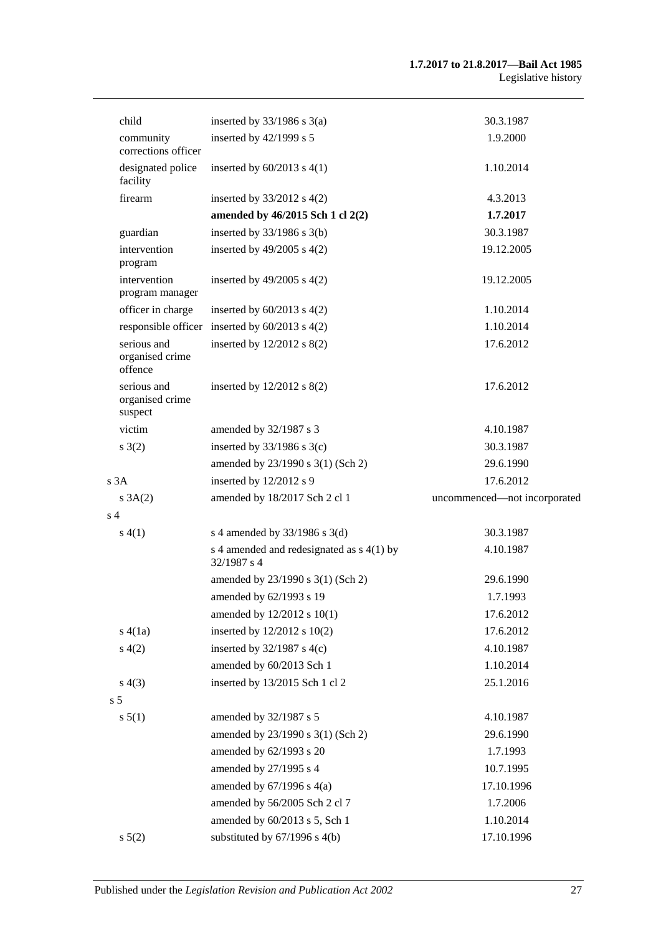| child                                     | inserted by $33/1986$ s $3(a)$                             | 30.3.1987                    |
|-------------------------------------------|------------------------------------------------------------|------------------------------|
| community<br>corrections officer          | inserted by $42/1999$ s 5                                  | 1.9.2000                     |
| designated police<br>facility             | inserted by $60/2013$ s $4(1)$                             | 1.10.2014                    |
| firearm                                   | inserted by $33/2012$ s $4(2)$                             | 4.3.2013                     |
|                                           | amended by 46/2015 Sch 1 cl 2(2)                           | 1.7.2017                     |
| guardian                                  | inserted by $33/1986$ s $3(b)$                             | 30.3.1987                    |
| intervention<br>program                   | inserted by $49/2005$ s $4(2)$                             | 19.12.2005                   |
| intervention<br>program manager           | inserted by $49/2005$ s $4(2)$                             | 19.12.2005                   |
| officer in charge                         | inserted by $60/2013$ s $4(2)$                             | 1.10.2014                    |
|                                           | responsible officer inserted by $60/2013$ s $4(2)$         | 1.10.2014                    |
| serious and<br>organised crime<br>offence | inserted by $12/2012$ s $8(2)$                             | 17.6.2012                    |
| serious and<br>organised crime<br>suspect | inserted by $12/2012$ s $8(2)$                             | 17.6.2012                    |
| victim                                    | amended by 32/1987 s 3                                     | 4.10.1987                    |
| s(2)                                      | inserted by $33/1986$ s $3(c)$                             | 30.3.1987                    |
|                                           | amended by 23/1990 s 3(1) (Sch 2)                          | 29.6.1990                    |
| s3A                                       | inserted by 12/2012 s 9                                    | 17.6.2012                    |
| s 3A(2)                                   | amended by 18/2017 Sch 2 cl 1                              | uncommenced-not incorporated |
| s <sub>4</sub>                            |                                                            |                              |
| s(4(1))                                   | s 4 amended by 33/1986 s 3(d)                              | 30.3.1987                    |
|                                           | s 4 amended and redesignated as $s$ 4(1) by<br>32/1987 s 4 | 4.10.1987                    |
|                                           | amended by 23/1990 s 3(1) (Sch 2)                          | 29.6.1990                    |
|                                           | amended by 62/1993 s 19                                    | 1.7.1993                     |
|                                           | amended by 12/2012 s 10(1)                                 | 17.6.2012                    |
| s(4(1a))                                  | inserted by 12/2012 s 10(2)                                | 17.6.2012                    |
| s(4(2)                                    | inserted by $32/1987$ s 4(c)                               | 4.10.1987                    |
|                                           | amended by 60/2013 Sch 1                                   | 1.10.2014                    |
| s(4(3))                                   | inserted by 13/2015 Sch 1 cl 2                             | 25.1.2016                    |
| s <sub>5</sub>                            |                                                            |                              |
| s 5(1)                                    | amended by 32/1987 s 5                                     | 4.10.1987                    |
|                                           | amended by 23/1990 s 3(1) (Sch 2)                          | 29.6.1990                    |
|                                           | amended by 62/1993 s 20                                    | 1.7.1993                     |
|                                           | amended by 27/1995 s 4                                     | 10.7.1995                    |
|                                           | amended by $67/1996$ s $4(a)$                              | 17.10.1996                   |
|                                           | amended by 56/2005 Sch 2 cl 7                              | 1.7.2006                     |
|                                           | amended by 60/2013 s 5, Sch 1                              | 1.10.2014                    |
| s 5(2)                                    | substituted by 67/1996 s 4(b)                              | 17.10.1996                   |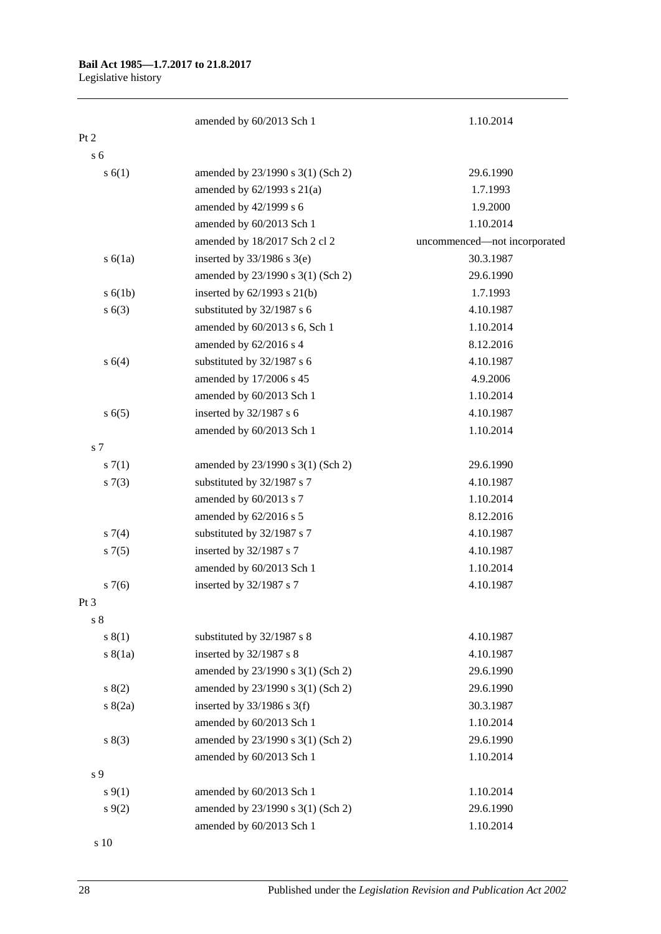# **Bail Act 1985—1.7.2017 to 21.8.2017**

Legislative history

|                | amended by 60/2013 Sch 1          | 1.10.2014                    |
|----------------|-----------------------------------|------------------------------|
| Pt 2           |                                   |                              |
| s <sub>6</sub> |                                   |                              |
| s(6(1))        | amended by 23/1990 s 3(1) (Sch 2) | 29.6.1990                    |
|                | amended by $62/1993$ s $21(a)$    | 1.7.1993                     |
|                | amended by 42/1999 s 6            | 1.9.2000                     |
|                | amended by 60/2013 Sch 1          | 1.10.2014                    |
|                | amended by 18/2017 Sch 2 cl 2     | uncommenced-not incorporated |
| s(6(1a))       | inserted by $33/1986$ s $3(e)$    | 30.3.1987                    |
|                | amended by 23/1990 s 3(1) (Sch 2) | 29.6.1990                    |
| s(6(1b))       | inserted by $62/1993$ s $21(b)$   | 1.7.1993                     |
| s(6(3))        | substituted by 32/1987 s 6        | 4.10.1987                    |
|                | amended by 60/2013 s 6, Sch 1     | 1.10.2014                    |
|                | amended by 62/2016 s 4            | 8.12.2016                    |
| s 6(4)         | substituted by 32/1987 s 6        | 4.10.1987                    |
|                | amended by 17/2006 s 45           | 4.9.2006                     |
|                | amended by 60/2013 Sch 1          | 1.10.2014                    |
| s(6(5)         | inserted by 32/1987 s 6           | 4.10.1987                    |
|                | amended by 60/2013 Sch 1          | 1.10.2014                    |
| s <sub>7</sub> |                                   |                              |
| s(7(1))        | amended by 23/1990 s 3(1) (Sch 2) | 29.6.1990                    |
| s(7(3))        | substituted by 32/1987 s 7        | 4.10.1987                    |
|                | amended by 60/2013 s 7            | 1.10.2014                    |
|                | amended by 62/2016 s 5            | 8.12.2016                    |
| $s \, 7(4)$    | substituted by 32/1987 s 7        | 4.10.1987                    |
| $s \, 7(5)$    | inserted by 32/1987 s 7           | 4.10.1987                    |
|                | amended by 60/2013 Sch 1          | 1.10.2014                    |
| $s \, 7(6)$    | inserted by 32/1987 s 7           | 4.10.1987                    |
| Pt 3           |                                   |                              |
| $\sqrt{s}$ 8   |                                   |                              |
| s(1)           | substituted by 32/1987 s 8        | 4.10.1987                    |
| s(8(1a))       | inserted by $32/1987$ s 8         | 4.10.1987                    |
|                | amended by 23/1990 s 3(1) (Sch 2) | 29.6.1990                    |
| 8(2)           | amended by 23/1990 s 3(1) (Sch 2) | 29.6.1990                    |
| s(2a)          | inserted by $33/1986$ s 3(f)      | 30.3.1987                    |
|                | amended by 60/2013 Sch 1          | 1.10.2014                    |
| s(3)           | amended by 23/1990 s 3(1) (Sch 2) | 29.6.1990                    |
|                | amended by 60/2013 Sch 1          | 1.10.2014                    |
| s 9            |                                   |                              |
| $s \, 9(1)$    | amended by 60/2013 Sch 1          | 1.10.2014                    |
| $s \, 9(2)$    | amended by 23/1990 s 3(1) (Sch 2) | 29.6.1990                    |
|                | amended by 60/2013 Sch 1          | 1.10.2014                    |

s 10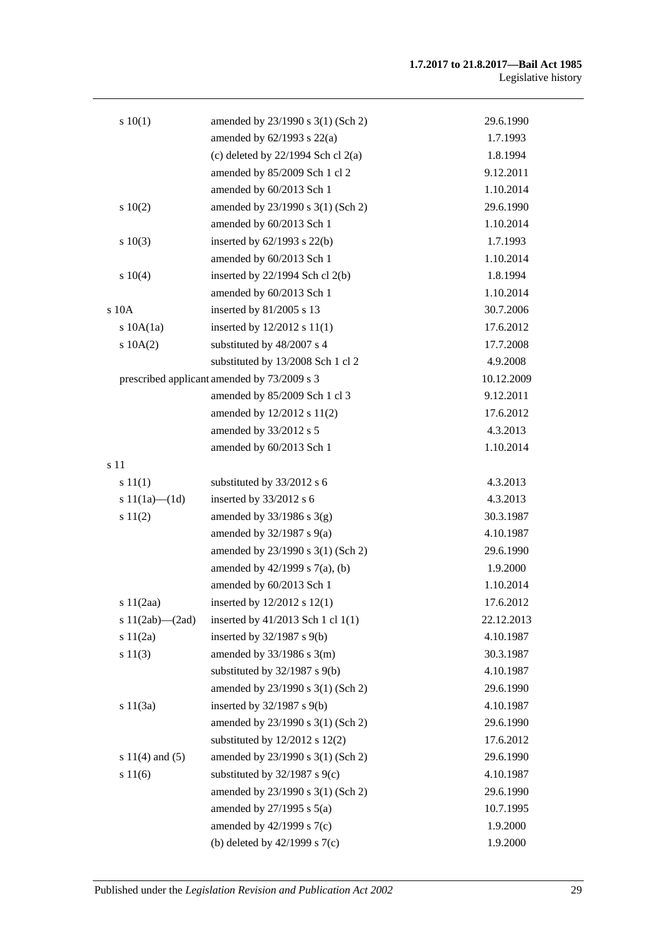| 10(1)                 | amended by 23/1990 s 3(1) (Sch 2)           | 29.6.1990  |
|-----------------------|---------------------------------------------|------------|
|                       | amended by $62/1993$ s $22(a)$              | 1.7.1993   |
|                       | (c) deleted by $22/1994$ Sch cl $2(a)$      | 1.8.1994   |
|                       | amended by 85/2009 Sch 1 cl 2               | 9.12.2011  |
|                       | amended by 60/2013 Sch 1                    | 1.10.2014  |
| 10(2)                 | amended by 23/1990 s 3(1) (Sch 2)           | 29.6.1990  |
|                       | amended by 60/2013 Sch 1                    | 1.10.2014  |
| s 10(3)               | inserted by 62/1993 s 22(b)                 | 1.7.1993   |
|                       | amended by 60/2013 Sch 1                    | 1.10.2014  |
| 10(4)                 | inserted by 22/1994 Sch cl 2(b)             | 1.8.1994   |
|                       | amended by 60/2013 Sch 1                    | 1.10.2014  |
| $s$ 10 $A$            | inserted by 81/2005 s 13                    | 30.7.2006  |
| $s$ 10A $(1a)$        | inserted by 12/2012 s 11(1)                 | 17.6.2012  |
| $s$ 10A(2)            | substituted by 48/2007 s 4                  | 17.7.2008  |
|                       | substituted by 13/2008 Sch 1 cl 2           | 4.9.2008   |
|                       | prescribed applicant amended by 73/2009 s 3 | 10.12.2009 |
|                       | amended by 85/2009 Sch 1 cl 3               | 9.12.2011  |
|                       | amended by 12/2012 s 11(2)                  | 17.6.2012  |
|                       | amended by 33/2012 s 5                      | 4.3.2013   |
|                       | amended by 60/2013 Sch 1                    | 1.10.2014  |
| s 11                  |                                             |            |
| s 11(1)               | substituted by 33/2012 s 6                  | 4.3.2013   |
| s $11(1a)$ — $(1d)$   | inserted by 33/2012 s 6                     | 4.3.2013   |
| s 11(2)               | amended by $33/1986$ s $3(g)$               | 30.3.1987  |
|                       | amended by $32/1987$ s $9(a)$               | 4.10.1987  |
|                       | amended by 23/1990 s 3(1) (Sch 2)           | 29.6.1990  |
|                       | amended by 42/1999 s 7(a), (b)              | 1.9.2000   |
|                       | amended by 60/2013 Sch 1                    | 1.10.2014  |
| s 11(2aa)             | inserted by 12/2012 s 12(1)                 | 17.6.2012  |
| s $11(2ab)$ - $(2ad)$ | inserted by 41/2013 Sch 1 cl 1(1)           | 22.12.2013 |
| s 11(2a)              | inserted by 32/1987 s 9(b)                  | 4.10.1987  |
| s 11(3)               | amended by $33/1986$ s $3(m)$               | 30.3.1987  |
|                       | substituted by $32/1987$ s $9(b)$           | 4.10.1987  |
|                       | amended by 23/1990 s 3(1) (Sch 2)           | 29.6.1990  |
| s $11(3a)$            | inserted by $32/1987$ s $9(b)$              | 4.10.1987  |
|                       | amended by 23/1990 s 3(1) (Sch 2)           | 29.6.1990  |
|                       | substituted by $12/2012$ s $12(2)$          | 17.6.2012  |
| s $11(4)$ and $(5)$   | amended by 23/1990 s 3(1) (Sch 2)           | 29.6.1990  |
| s 11(6)               | substituted by $32/1987$ s $9(c)$           | 4.10.1987  |
|                       | amended by 23/1990 s 3(1) (Sch 2)           | 29.6.1990  |
|                       | amended by $27/1995$ s $5(a)$               | 10.7.1995  |
|                       | amended by $42/1999$ s $7(c)$               | 1.9.2000   |
|                       | (b) deleted by $42/1999$ s $7(c)$           | 1.9.2000   |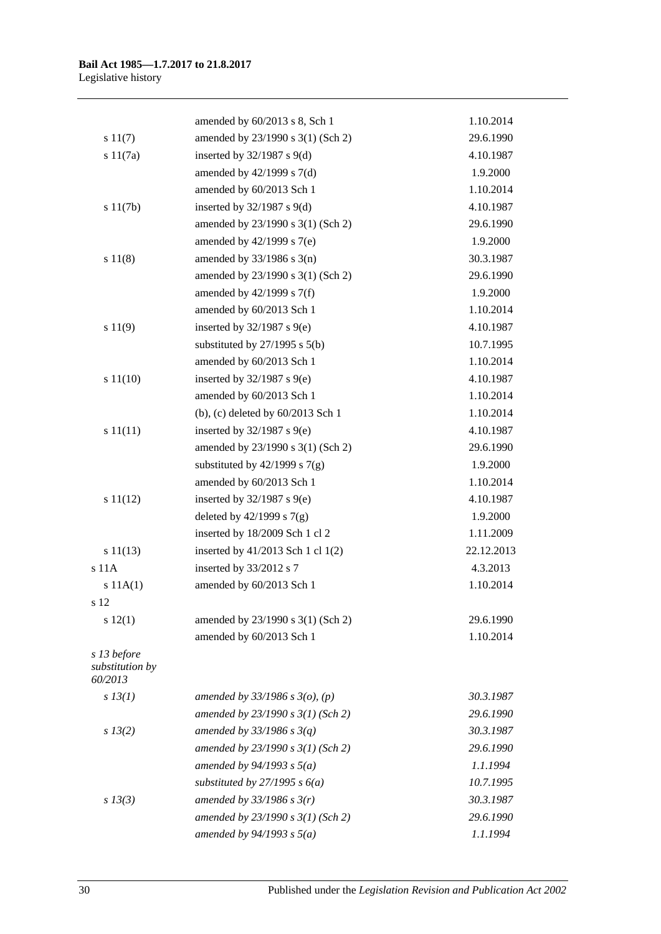|                                           | amended by 60/2013 s 8, Sch 1       | 1.10.2014  |
|-------------------------------------------|-------------------------------------|------------|
| s 11(7)                                   | amended by 23/1990 s 3(1) (Sch 2)   | 29.6.1990  |
| s 11(7a)                                  | inserted by $32/1987$ s $9(d)$      | 4.10.1987  |
|                                           | amended by $42/1999$ s $7(d)$       | 1.9.2000   |
|                                           | amended by 60/2013 Sch 1            | 1.10.2014  |
| s 11(7b)                                  | inserted by $32/1987$ s $9(d)$      | 4.10.1987  |
|                                           | amended by 23/1990 s 3(1) (Sch 2)   | 29.6.1990  |
|                                           | amended by $42/1999$ s $7(e)$       | 1.9.2000   |
| s 11(8)                                   | amended by $33/1986$ s $3(n)$       | 30.3.1987  |
|                                           | amended by 23/1990 s 3(1) (Sch 2)   | 29.6.1990  |
|                                           | amended by $42/1999$ s $7(f)$       | 1.9.2000   |
|                                           | amended by 60/2013 Sch 1            | 1.10.2014  |
| s 11(9)                                   | inserted by $32/1987$ s $9(e)$      | 4.10.1987  |
|                                           | substituted by $27/1995$ s $5(b)$   | 10.7.1995  |
|                                           | amended by 60/2013 Sch 1            | 1.10.2014  |
| s 11(10)                                  | inserted by $32/1987$ s $9(e)$      | 4.10.1987  |
|                                           | amended by 60/2013 Sch 1            | 1.10.2014  |
|                                           | (b), (c) deleted by $60/2013$ Sch 1 | 1.10.2014  |
| s 11(11)                                  | inserted by $32/1987$ s $9(e)$      | 4.10.1987  |
|                                           | amended by 23/1990 s 3(1) (Sch 2)   | 29.6.1990  |
|                                           | substituted by $42/1999$ s $7(g)$   | 1.9.2000   |
|                                           | amended by 60/2013 Sch 1            | 1.10.2014  |
| s 11(12)                                  | inserted by $32/1987$ s $9(e)$      | 4.10.1987  |
|                                           | deleted by $42/1999$ s $7(g)$       | 1.9.2000   |
|                                           | inserted by 18/2009 Sch 1 cl 2      | 1.11.2009  |
| s 11(13)                                  | inserted by 41/2013 Sch 1 cl 1(2)   | 22.12.2013 |
| s <sub>11A</sub>                          | inserted by 33/2012 s 7             | 4.3.2013   |
| s 11A(1)                                  | amended by 60/2013 Sch 1            | 1.10.2014  |
| s 12                                      |                                     |            |
| s 12(1)                                   | amended by 23/1990 s 3(1) (Sch 2)   | 29.6.1990  |
|                                           | amended by 60/2013 Sch 1            | 1.10.2014  |
| s 13 before<br>substitution by<br>60/2013 |                                     |            |
| $s$ 13(1)                                 | amended by $33/1986$ s $3(o)$ , (p) | 30.3.1987  |
|                                           | amended by 23/1990 s 3(1) (Sch 2)   | 29.6.1990  |
| $s\,13(2)$                                | amended by $33/1986$ s $3(q)$       | 30.3.1987  |
|                                           | amended by $23/1990 s 3(1)$ (Sch 2) | 29.6.1990  |
|                                           | amended by $94/1993 s 5(a)$         | 1.1.1994   |
|                                           | substituted by $27/1995 s 6(a)$     | 10.7.1995  |
| $s\,13(3)$                                | amended by $33/1986$ s $3(r)$       | 30.3.1987  |
|                                           | amended by 23/1990 s 3(1) (Sch 2)   | 29.6.1990  |
|                                           | amended by $94/1993$ s $5(a)$       | 1.1.1994   |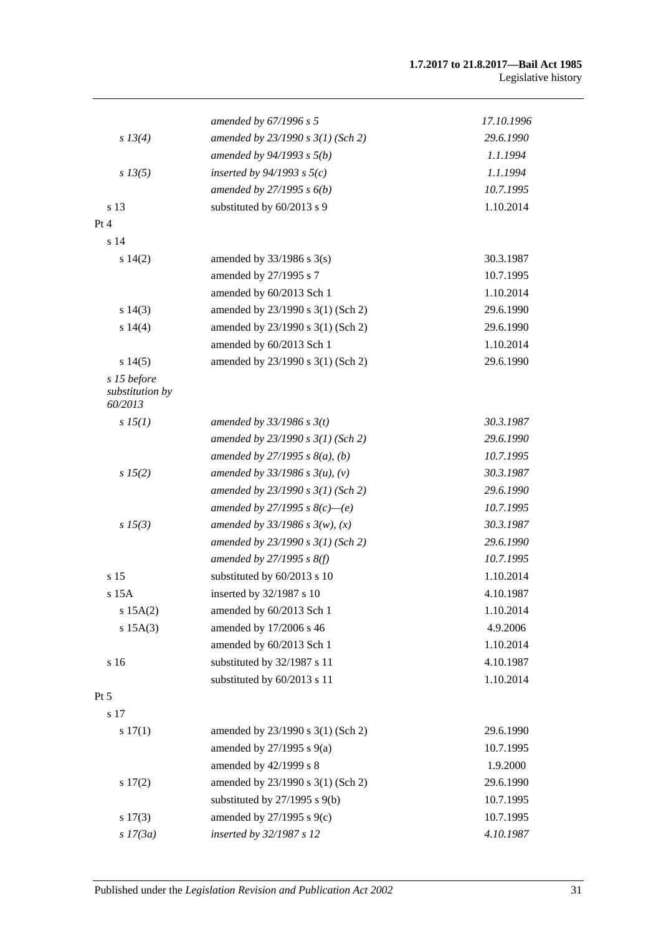#### **1.7.2017 to 21.8.2017—Bail Act 1985** Legislative history

|                                           | amended by $67/1996 s 5$            | 17.10.1996 |
|-------------------------------------------|-------------------------------------|------------|
| s 13(4)                                   | amended by 23/1990 s 3(1) (Sch 2)   | 29.6.1990  |
|                                           | amended by $94/1993$ s $5(b)$       | 1.1.1994   |
| $s\,13(5)$                                | inserted by $94/1993$ s $5(c)$      | 1.1.1994   |
|                                           | amended by $27/1995 s 6(b)$         | 10.7.1995  |
| s 13                                      | substituted by 60/2013 s 9          | 1.10.2014  |
| Pt 4                                      |                                     |            |
| s 14                                      |                                     |            |
| s 14(2)                                   | amended by $33/1986$ s $3(s)$       | 30.3.1987  |
|                                           | amended by 27/1995 s 7              | 10.7.1995  |
|                                           | amended by 60/2013 Sch 1            | 1.10.2014  |
| s 14(3)                                   | amended by 23/1990 s 3(1) (Sch 2)   | 29.6.1990  |
| s 14(4)                                   | amended by 23/1990 s 3(1) (Sch 2)   | 29.6.1990  |
|                                           | amended by 60/2013 Sch 1            | 1.10.2014  |
| s14(5)                                    | amended by 23/1990 s 3(1) (Sch 2)   | 29.6.1990  |
| s 15 before<br>substitution by<br>60/2013 |                                     |            |
| s 15(1)                                   | amended by $33/1986$ s $3(t)$       | 30.3.1987  |
|                                           | amended by 23/1990 s 3(1) (Sch 2)   | 29.6.1990  |
|                                           | amended by $27/1995 s 8(a)$ , (b)   | 10.7.1995  |
| s 15(2)                                   | amended by $33/1986 s 3(u)$ , (v)   | 30.3.1987  |
|                                           | amended by $23/1990 s 3(1)$ (Sch 2) | 29.6.1990  |
|                                           | amended by 27/1995 s $8(c)$ —(e)    | 10.7.1995  |
| $s\,15(3)$                                | amended by $33/1986 s 3(w)$ , (x)   | 30.3.1987  |
|                                           | amended by 23/1990 s 3(1) (Sch 2)   | 29.6.1990  |
|                                           | amended by $27/1995 s 8(f)$         | 10.7.1995  |
| s 15                                      | substituted by 60/2013 s 10         | 1.10.2014  |
| s 15A                                     | inserted by 32/1987 s 10            | 4.10.1987  |
| s 15A(2)                                  | amended by 60/2013 Sch 1            | 1.10.2014  |
| $s$ 15A $(3)$                             | amended by 17/2006 s 46             | 4.9.2006   |
|                                           | amended by 60/2013 Sch 1            | 1.10.2014  |
| s 16                                      | substituted by 32/1987 s 11         | 4.10.1987  |
|                                           | substituted by 60/2013 s 11         | 1.10.2014  |
| Pt 5                                      |                                     |            |
| s 17                                      |                                     |            |
| s 17(1)                                   | amended by 23/1990 s 3(1) (Sch 2)   | 29.6.1990  |
|                                           | amended by $27/1995$ s $9(a)$       | 10.7.1995  |
|                                           | amended by 42/1999 s 8              | 1.9.2000   |
| s 17(2)                                   | amended by 23/1990 s 3(1) (Sch 2)   | 29.6.1990  |
|                                           | substituted by $27/1995$ s $9(b)$   | 10.7.1995  |
| s 17(3)                                   | amended by 27/1995 s 9(c)           | 10.7.1995  |
| $s$ 17(3a)                                | inserted by 32/1987 s 12            | 4.10.1987  |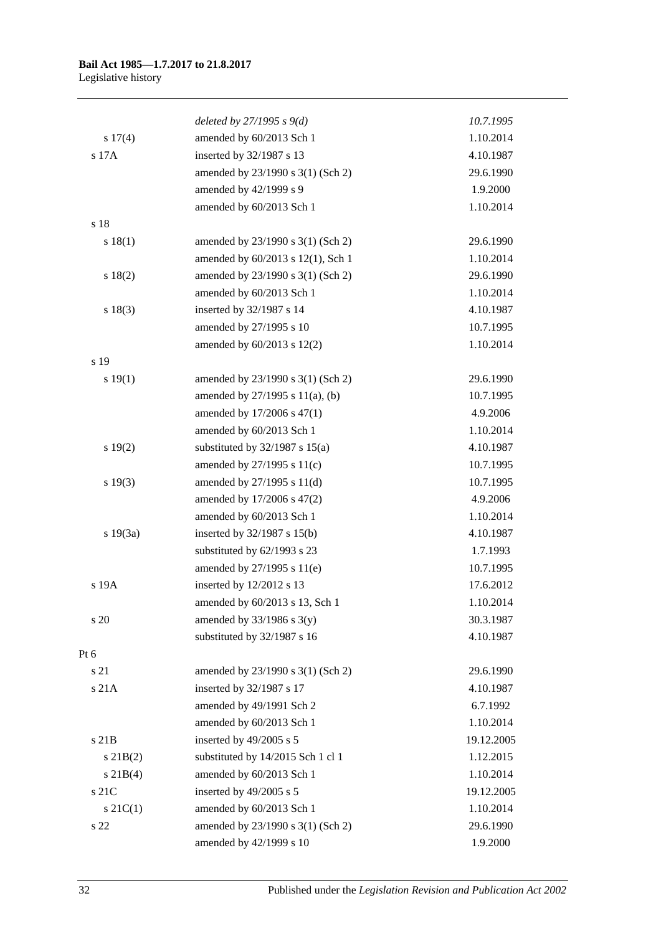|               | deleted by $27/1995 s 9(d)$        | 10.7.1995  |
|---------------|------------------------------------|------------|
| s 17(4)       | amended by 60/2013 Sch 1           | 1.10.2014  |
| s 17A         | inserted by 32/1987 s 13           | 4.10.1987  |
|               | amended by 23/1990 s 3(1) (Sch 2)  | 29.6.1990  |
|               | amended by 42/1999 s 9             | 1.9.2000   |
|               | amended by 60/2013 Sch 1           | 1.10.2014  |
| s 18          |                                    |            |
| s 18(1)       | amended by 23/1990 s 3(1) (Sch 2)  | 29.6.1990  |
|               | amended by 60/2013 s 12(1), Sch 1  | 1.10.2014  |
| s 18(2)       | amended by 23/1990 s 3(1) (Sch 2)  | 29.6.1990  |
|               | amended by 60/2013 Sch 1           | 1.10.2014  |
| s 18(3)       | inserted by 32/1987 s 14           | 4.10.1987  |
|               | amended by 27/1995 s 10            | 10.7.1995  |
|               | amended by 60/2013 s 12(2)         | 1.10.2014  |
| s 19          |                                    |            |
| s 19(1)       | amended by 23/1990 s 3(1) (Sch 2)  | 29.6.1990  |
|               | amended by 27/1995 s 11(a), (b)    | 10.7.1995  |
|               | amended by 17/2006 s 47(1)         | 4.9.2006   |
|               | amended by 60/2013 Sch 1           | 1.10.2014  |
| 19(2)         | substituted by $32/1987$ s $15(a)$ | 4.10.1987  |
|               | amended by 27/1995 s 11(c)         | 10.7.1995  |
| s 19(3)       | amended by 27/1995 s 11(d)         | 10.7.1995  |
|               | amended by 17/2006 s 47(2)         | 4.9.2006   |
|               | amended by 60/2013 Sch 1           | 1.10.2014  |
| s 19(3a)      | inserted by 32/1987 s 15(b)        | 4.10.1987  |
|               | substituted by 62/1993 s 23        | 1.7.1993   |
|               | amended by 27/1995 s 11(e)         | 10.7.1995  |
| s 19A         | inserted by 12/2012 s 13           | 17.6.2012  |
|               | amended by 60/2013 s 13, Sch 1     | 1.10.2014  |
| s 20          | amended by $33/1986$ s $3(y)$      | 30.3.1987  |
|               | substituted by 32/1987 s 16        | 4.10.1987  |
| Pt 6          |                                    |            |
| s 21          | amended by 23/1990 s 3(1) (Sch 2)  | 29.6.1990  |
| s 21A         | inserted by 32/1987 s 17           | 4.10.1987  |
|               | amended by 49/1991 Sch 2           | 6.7.1992   |
|               | amended by 60/2013 Sch 1           | 1.10.2014  |
| s 21B         | inserted by 49/2005 s 5            | 19.12.2005 |
| $s$ 21B(2)    | substituted by 14/2015 Sch 1 cl 1  | 1.12.2015  |
| $s \, 21B(4)$ | amended by 60/2013 Sch 1           | 1.10.2014  |
| s 21C         | inserted by 49/2005 s 5            | 19.12.2005 |
| $s \, 21C(1)$ | amended by 60/2013 Sch 1           | 1.10.2014  |
| s 22          | amended by 23/1990 s 3(1) (Sch 2)  | 29.6.1990  |
|               | amended by 42/1999 s 10            | 1.9.2000   |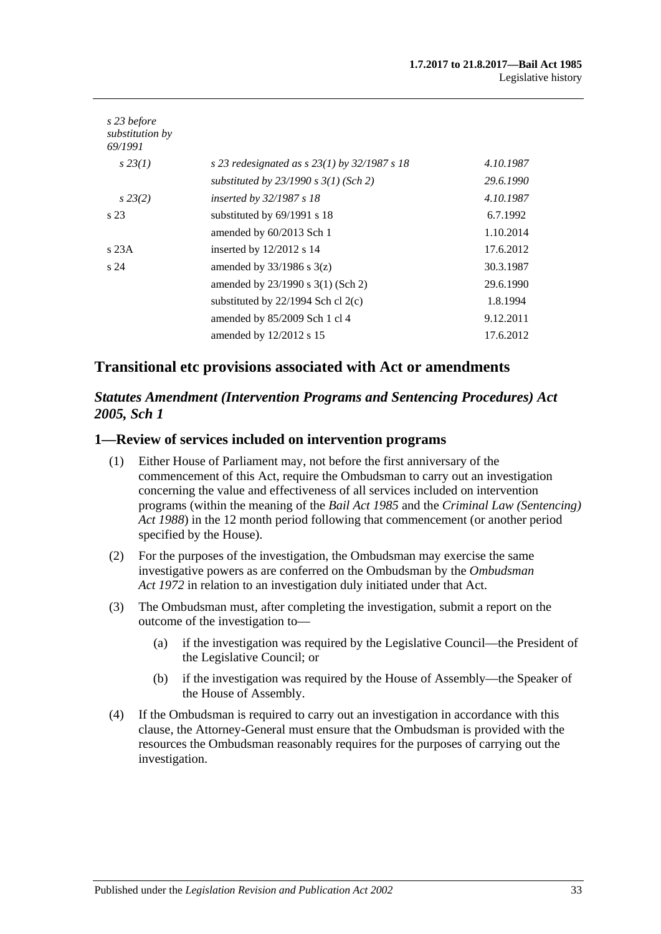| s 23 before<br>substitution by<br>69/1991 |                                                  |           |
|-------------------------------------------|--------------------------------------------------|-----------|
| $s\,23(1)$                                | s 23 redesignated as s $23(1)$ by $32/1987$ s 18 | 4.10.1987 |
|                                           | substituted by $23/1990$ s $3(1)$ (Sch 2)        | 29.6.1990 |
| $s\,23(2)$                                | inserted by $32/1987 s 18$                       | 4.10.1987 |
| s 23                                      | substituted by $69/1991$ s 18                    | 6.7.1992  |
|                                           | amended by 60/2013 Sch 1                         | 1.10.2014 |
| s23A                                      | inserted by 12/2012 s 14                         | 17.6.2012 |
| s <sub>24</sub>                           | amended by $33/1986$ s $3(z)$                    | 30.3.1987 |
|                                           | amended by $23/1990$ s $3(1)$ (Sch 2)            | 29.6.1990 |
|                                           | substituted by $22/1994$ Sch cl $2(c)$           | 1.8.1994  |
|                                           | amended by 85/2009 Sch 1 cl 4                    | 9.12.2011 |
|                                           | amended by $12/2012$ s 15                        | 17.6.2012 |

### **Transitional etc provisions associated with Act or amendments**

### *Statutes Amendment (Intervention Programs and Sentencing Procedures) Act 2005, Sch 1*

### **1—Review of services included on intervention programs**

- (1) Either House of Parliament may, not before the first anniversary of the commencement of this Act, require the Ombudsman to carry out an investigation concerning the value and effectiveness of all services included on intervention programs (within the meaning of the *[Bail Act](http://www.legislation.sa.gov.au/index.aspx?action=legref&type=act&legtitle=Bail%20Act%201985) 1985* and the *[Criminal Law \(Sentencing\)](http://www.legislation.sa.gov.au/index.aspx?action=legref&type=act&legtitle=Criminal%20Law%20(Sentencing)%20Act%201988)  Act [1988](http://www.legislation.sa.gov.au/index.aspx?action=legref&type=act&legtitle=Criminal%20Law%20(Sentencing)%20Act%201988)*) in the 12 month period following that commencement (or another period specified by the House).
- (2) For the purposes of the investigation, the Ombudsman may exercise the same investigative powers as are conferred on the Ombudsman by the *[Ombudsman](http://www.legislation.sa.gov.au/index.aspx?action=legref&type=act&legtitle=Ombudsman%20Act%201972)  Act [1972](http://www.legislation.sa.gov.au/index.aspx?action=legref&type=act&legtitle=Ombudsman%20Act%201972)* in relation to an investigation duly initiated under that Act.
- (3) The Ombudsman must, after completing the investigation, submit a report on the outcome of the investigation to—
	- (a) if the investigation was required by the Legislative Council—the President of the Legislative Council; or
	- (b) if the investigation was required by the House of Assembly—the Speaker of the House of Assembly.
- (4) If the Ombudsman is required to carry out an investigation in accordance with this clause, the Attorney-General must ensure that the Ombudsman is provided with the resources the Ombudsman reasonably requires for the purposes of carrying out the investigation.